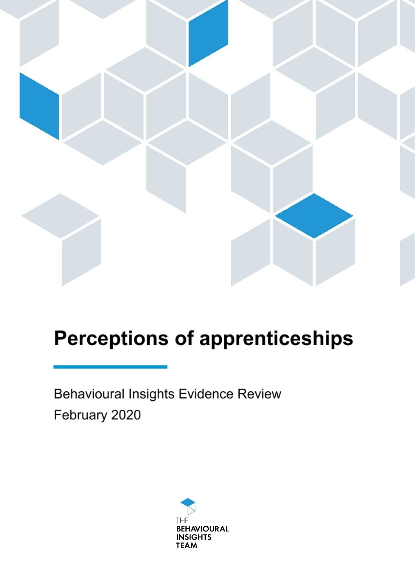

# **Perceptions of apprenticeships**

Behavioural Insights Evidence Review February 2020

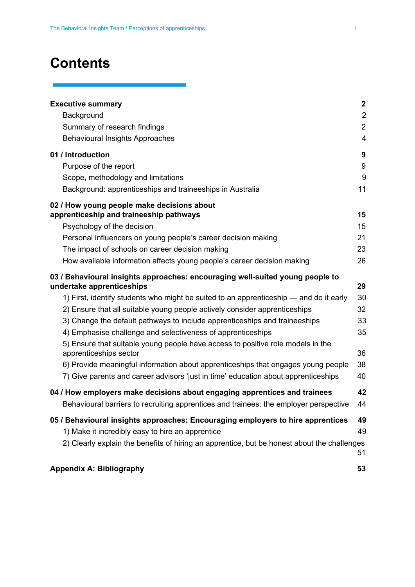## **Contents**

| <b>Executive summary</b>                                                                    | $\boldsymbol{2}$        |
|---------------------------------------------------------------------------------------------|-------------------------|
| Background                                                                                  | $\overline{2}$          |
| Summary of research findings                                                                | $\overline{2}$          |
| <b>Behavioural Insights Approaches</b>                                                      | $\overline{\mathbf{4}}$ |
| 01 / Introduction                                                                           | 9                       |
| Purpose of the report                                                                       | 9                       |
| Scope, methodology and limitations                                                          | 9                       |
| Background: apprenticeships and traineeships in Australia                                   | 11                      |
| 02 / How young people make decisions about                                                  |                         |
| apprenticeship and traineeship pathways                                                     | 15                      |
| Psychology of the decision                                                                  | 15                      |
| Personal influencers on young people's career decision making                               | 21                      |
| The impact of schools on career decision making                                             | 23                      |
| How available information affects young people's career decision making                     | 26                      |
| 03 / Behavioural insights approaches: encouraging well-suited young people to               |                         |
| undertake apprenticeships                                                                   | 29                      |
| 1) First, identify students who might be suited to an apprenticeship — and do it early      | 30                      |
| 2) Ensure that all suitable young people actively consider apprenticeships                  | 32                      |
| 3) Change the default pathways to include apprenticeships and traineeships                  | 33                      |
| 4) Emphasise challenge and selectiveness of apprenticeships                                 | 35                      |
| 5) Ensure that suitable young people have access to positive role models in the             |                         |
| apprenticeships sector                                                                      | 36                      |
| 6) Provide meaningful information about apprenticeships that engages young people           | 38                      |
| 7) Give parents and career advisors 'just in time' education about apprenticeships          | 40                      |
| 04 / How employers make decisions about engaging apprentices and trainees                   | 42                      |
| Behavioural barriers to recruiting apprentices and trainees: the employer perspective       | 44                      |
| 05 / Behavioural insights approaches: Encouraging employers to hire apprentices             | 49                      |
| 1) Make it incredibly easy to hire an apprentice                                            | 49                      |
| 2) Clearly explain the benefits of hiring an apprentice, but be honest about the challenges | 51                      |
| <b>Appendix A: Bibliography</b>                                                             | 53                      |

ŧ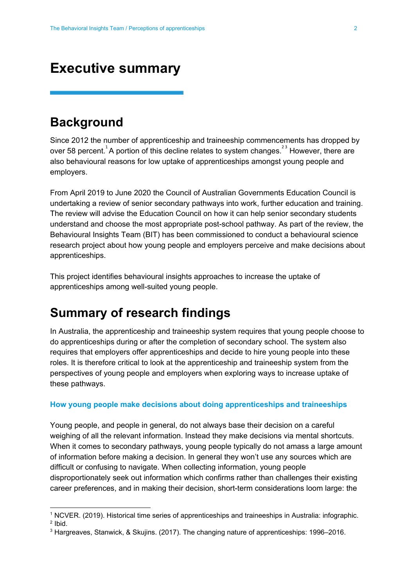### <span id="page-2-0"></span>**Executive summary**

### <span id="page-2-1"></span>**Background**

Since 2012 the number of apprenticeship and traineeship commencements has dropped by over 58 percent.<sup>1</sup>A portion of this decline relates to system changes.<sup>23</sup> However, there are also behavioural reasons for low uptake of apprenticeships amongst young people and employers.

From April 2019 to June 2020 the Council of Australian Governments Education Council is undertaking a review of senior secondary pathways into work, further education and training. The review will advise the Education Council on how it can help senior secondary students understand and choose the most appropriate post-school pathway. As part of the review, the Behavioural Insights Team (BIT) has been commissioned to conduct a behavioural science research project about how young people and employers perceive and make decisions about apprenticeships.

This project identifies behavioural insights approaches to increase the uptake of apprenticeships among well-suited young people.

### <span id="page-2-2"></span>**Summary of research findings**

In Australia, the apprenticeship and traineeship system requires that young people choose to do apprenticeships during or after the completion of secondary school. The system also requires that employers offer apprenticeships and decide to hire young people into these roles. It is therefore critical to look at the apprenticeship and traineeship system from the perspectives of young people and employers when exploring ways to increase uptake of these pathways.

#### **How young people make decisions about doing apprenticeships and traineeships**

Young people, and people in general, do not always base their decision on a careful weighing of all the relevant information. Instead they make decisions via mental shortcuts. When it comes to secondary pathways, young people typically do not amass a large amount of information before making a decision. In general they won't use any sources which are difficult or confusing to navigate. When collecting information, young people disproportionately seek out information which confirms rather than challenges their existing career preferences, and in making their decision, short-term considerations loom large: the

<sup>1</sup> NCVER. (2019). Historical time series of [apprenticeships](https://www.ncver.edu.au/research-and-statistics/data/all-data/historical-time-series-of-apprenticeships-and-traineeships-in-australia-1963-to-2019-infographic) and traineeships in Australia: infographic.  $2$  lbid.

<sup>3</sup> Hargreaves, Stanwick, & Skujins. (2017). The changing nature of apprenticeships: 1996–2016.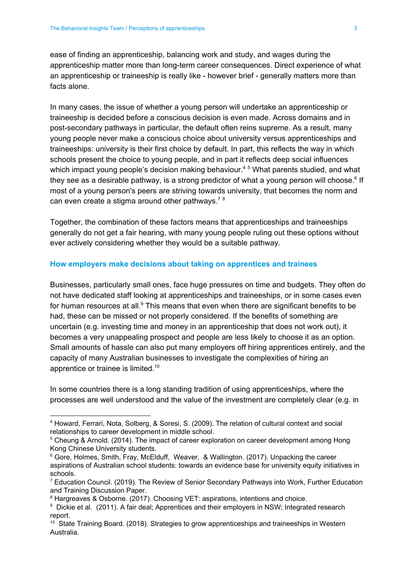ease of finding an apprenticeship, balancing work and study, and wages during the apprenticeship matter more than long-term career consequences. Direct experience of what an apprenticeship or traineeship is really like - however brief - generally matters more than facts alone.

In many cases, the issue of whether a young person will undertake an apprenticeship or traineeship is decided before a conscious decision is even made. Across domains and in post-secondary pathways in particular, the default often reins supreme. As a result, many young people never make a conscious choice about university versus apprenticeships and traineeships: university is their first choice by default. In part, this reflects the way in which schools present the choice to young people, and in part it reflects deep social influences which impact young people's decision making behaviour.<sup>45</sup> What parents studied, and what they see as a desirable pathway, is a strong predictor of what a young person will choose.<sup>6</sup> If most of a young person's peers are striving towards university, that becomes the norm and can even create a stigma around other pathways.<sup>78</sup>

Together, the combination of these factors means that apprenticeships and traineeships generally do not get a fair hearing, with many young people ruling out these options without ever actively considering whether they would be a suitable pathway.

#### **How employers make decisions about taking on apprentices and trainees**

Businesses, particularly small ones, face huge pressures on time and budgets. They often do not have dedicated staff looking at apprenticeships and traineeships, or in some cases even for human resources at all. $9$  This means that even when there are significant benefits to be had, these can be missed or not properly considered. If the benefits of something are uncertain (e.g. investing time and money in an apprenticeship that does not work out), it becomes a very unappealing prospect and people are less likely to choose it as an option. Small amounts of hassle can also put many employers off hiring apprentices entirely, and the capacity of many Australian businesses to investigate the complexities of hiring an apprentice or trainee is limited.<sup>10</sup>

In some countries there is a long standing tradition of using apprenticeships, where the processes are well understood and the value of the investment are completely clear (e.g. in

<sup>4</sup> Howard, Ferrari, Nota, Solberg, & Soresi, S. (2009). The relation of cultural context and social relationships to career development in middle school.

<sup>&</sup>lt;sup>5</sup> Cheung & Arnold. (2014). The impact of career exploration on career development among Hong Kong Chinese University students.

<sup>&</sup>lt;sup>6</sup> Gore, Holmes, Smith, Fray, McElduff, Weaver, & Wallington. (2017). Unpacking the career aspirations of Australian school students: towards an evidence base for university equity initiatives in schools.

<sup>&</sup>lt;sup>7</sup> Education Council. (2019). The Review of Senior Secondary Pathways into Work, Further Education and Training Discussion Paper.

<sup>&</sup>lt;sup>8</sup> Hargreaves & Osborne. (2017). Choosing VET: aspirations, intentions and choice.

<sup>&</sup>lt;sup>9</sup> Dickie et al. (2011). A fair deal; Apprentices and their employers in NSW; Integrated research report.

<sup>&</sup>lt;sup>10</sup> State Training Board. (2018). Strategies to grow apprenticeships and traineeships in Western Australia.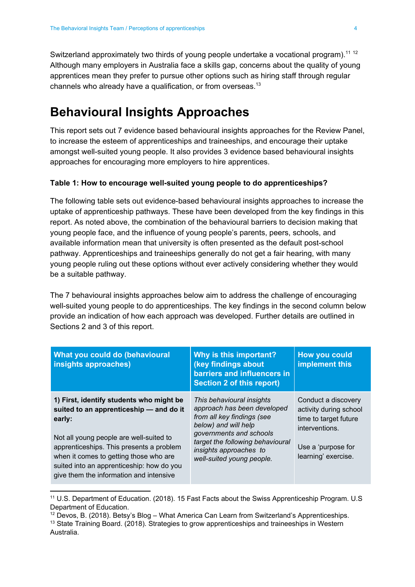Switzerland approximately two thirds of young people undertake a vocational program).<sup>11-12</sup> Although many employers in Australia face a skills gap, concerns about the quality of young apprentices mean they prefer to pursue other options such as hiring staff through regular channels who already have a qualification, or from overseas.<sup>13</sup>

### <span id="page-4-0"></span>**Behavioural Insights Approaches**

This report sets out 7 evidence based behavioural insights approaches for the Review Panel, to increase the esteem of apprenticeships and traineeships, and encourage their uptake amongst well-suited young people. It also provides 3 evidence based behavioural insights approaches for encouraging more employers to hire apprentices.

#### **Table 1: How to encourage well-suited young people to do apprenticeships?**

The following table sets out evidence-based behavioural insights approaches to increase the uptake of apprenticeship pathways. These have been developed from the key findings in this report. As noted above, the combination of the behavioural barriers to decision making that young people face, and the influence of young people's parents, peers, schools, and available information mean that university is often presented as the default post-school pathway. Apprenticeships and traineeships generally do not get a fair hearing, with many young people ruling out these options without ever actively considering whether they would be a suitable pathway.

The 7 behavioural insights approaches below aim to address the challenge of encouraging well-suited young people to do apprenticeships. The key findings in the second column below provide an indication of how each approach was developed. Further details are outlined in Sections 2 and 3 of this report.

| What you could do (behavioural<br>insights approaches)                                                                                                                                                                                                                                                                 | Why is this important?<br>(key findings about<br>barriers and influencers in<br>Section 2 of this report)                                                                                                                            | <b>How you could</b><br>implement this                                                                                                |
|------------------------------------------------------------------------------------------------------------------------------------------------------------------------------------------------------------------------------------------------------------------------------------------------------------------------|--------------------------------------------------------------------------------------------------------------------------------------------------------------------------------------------------------------------------------------|---------------------------------------------------------------------------------------------------------------------------------------|
| 1) First, identify students who might be<br>suited to an apprenticeship - and do it<br>early:<br>Not all young people are well-suited to<br>apprenticeships. This presents a problem<br>when it comes to getting those who are<br>suited into an apprenticeship: how do you<br>give them the information and intensive | This behavioural insights<br>approach has been developed<br>from all key findings (see<br>below) and will help<br>governments and schools<br>target the following behavioural<br>insights approaches to<br>well-suited young people. | Conduct a discovery<br>activity during school<br>time to target future<br>interventions.<br>Use a 'purpose for<br>learning' exercise. |

<sup>11</sup> U.S. Department of Education. (2018). 15 Fast Facts about the Swiss Apprenticeship Program. U.S Department of Education.

 $12$  Devos, B. (2018). Betsy's Blog – What America Can Learn from Switzerland's Apprenticeships.

<sup>&</sup>lt;sup>13</sup> State Training Board. (2018). Strategies to grow apprenticeships and traineeships in Western Australia.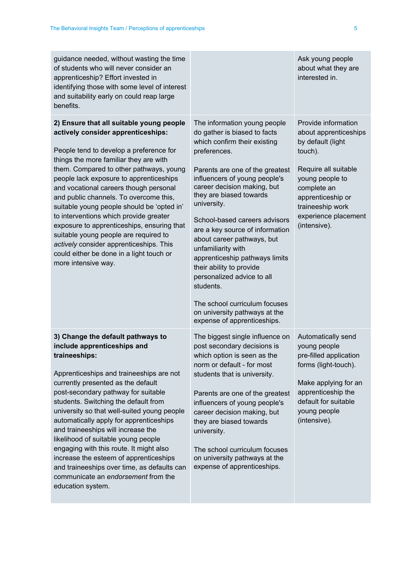| guidance needed, without wasting the time<br>of students who will never consider an<br>apprenticeship? Effort invested in<br>identifying those with some level of interest<br>and suitability early on could reap large<br>benefits.                                                                                                                                                                                                                                                                                                                                                                                                       |                                                                                                                                                                                                                                                                                                                                                                                                                                                                                                                                                                                             | Ask young people<br>about what they are<br>interested in.                                                                                                                                                               |
|--------------------------------------------------------------------------------------------------------------------------------------------------------------------------------------------------------------------------------------------------------------------------------------------------------------------------------------------------------------------------------------------------------------------------------------------------------------------------------------------------------------------------------------------------------------------------------------------------------------------------------------------|---------------------------------------------------------------------------------------------------------------------------------------------------------------------------------------------------------------------------------------------------------------------------------------------------------------------------------------------------------------------------------------------------------------------------------------------------------------------------------------------------------------------------------------------------------------------------------------------|-------------------------------------------------------------------------------------------------------------------------------------------------------------------------------------------------------------------------|
| 2) Ensure that all suitable young people<br>actively consider apprenticeships:<br>People tend to develop a preference for<br>things the more familiar they are with<br>them. Compared to other pathways, young<br>people lack exposure to apprenticeships<br>and vocational careers though personal<br>and public channels. To overcome this,<br>suitable young people should be 'opted in'<br>to interventions which provide greater<br>exposure to apprenticeships, ensuring that<br>suitable young people are required to<br>actively consider apprenticeships. This<br>could either be done in a light touch or<br>more intensive way. | The information young people<br>do gather is biased to facts<br>which confirm their existing<br>preferences.<br>Parents are one of the greatest<br>influencers of young people's<br>career decision making, but<br>they are biased towards<br>university.<br>School-based careers advisors<br>are a key source of information<br>about career pathways, but<br>unfamiliarity with<br>apprenticeship pathways limits<br>their ability to provide<br>personalized advice to all<br>students.<br>The school curriculum focuses<br>on university pathways at the<br>expense of apprenticeships. | Provide information<br>about apprenticeships<br>by default (light<br>touch).<br>Require all suitable<br>young people to<br>complete an<br>apprenticeship or<br>traineeship work<br>experience placement<br>(intensive). |
| 3) Change the default pathways to<br>include apprenticeships and<br>traineeships:<br>Apprenticeships and traineeships are not<br>currently presented as the default<br>post-secondary pathway for suitable<br>students. Switching the default from<br>university so that well-suited young people<br>automatically apply for apprenticeships<br>and traineeships will increase the<br>likelihood of suitable young people<br>engaging with this route. It might also<br>increase the esteem of apprenticeships<br>and traineeships over time, as defaults can<br>communicate an endorsement from the<br>education system.                  | The biggest single influence on<br>post secondary decisions is<br>which option is seen as the<br>norm or default - for most<br>students that is university.<br>Parents are one of the greatest<br>influencers of young people's<br>career decision making, but<br>they are biased towards<br>university.<br>The school curriculum focuses<br>on university pathways at the<br>expense of apprenticeships.                                                                                                                                                                                   | Automatically send<br>young people<br>pre-filled application<br>forms (light-touch).<br>Make applying for an<br>apprenticeship the<br>default for suitable<br>young people<br>(intensive).                              |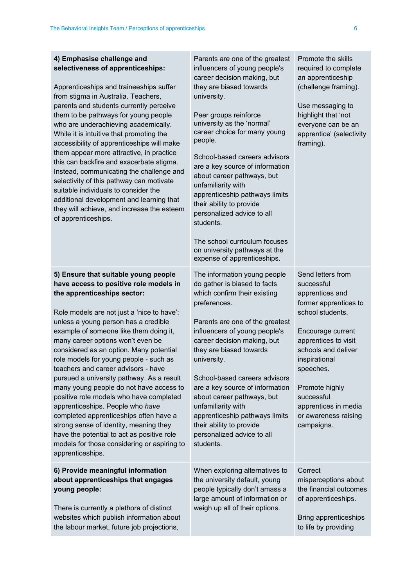| 4) Emphasise challenge and<br>selectiveness of apprenticeships:<br>Apprenticeships and traineeships suffer<br>from stigma in Australia. Teachers,<br>parents and students currently perceive<br>them to be pathways for young people<br>who are underachieving academically.<br>While it is intuitive that promoting the<br>accessibility of apprenticeships will make<br>them appear more attractive, in practice<br>this can backfire and exacerbate stigma.<br>Instead, communicating the challenge and<br>selectivity of this pathway can motivate<br>suitable individuals to consider the<br>additional development and learning that<br>they will achieve, and increase the esteem<br>of apprenticeships.                                                                            | Parents are one of the greatest<br>influencers of young people's<br>career decision making, but<br>they are biased towards<br>university.<br>Peer groups reinforce<br>university as the 'normal'<br>career choice for many young<br>people.<br>School-based careers advisors<br>are a key source of information<br>about career pathways, but<br>unfamiliarity with<br>apprenticeship pathways limits<br>their ability to provide<br>personalized advice to all<br>students.<br>The school curriculum focuses<br>on university pathways at the<br>expense of apprenticeships. | Promote the skills<br>required to complete<br>an apprenticeship<br>(challenge framing).<br>Use messaging to<br>highlight that 'not<br>everyone can be an<br>apprentice' (selectivity<br>framing).                                                                                               |
|--------------------------------------------------------------------------------------------------------------------------------------------------------------------------------------------------------------------------------------------------------------------------------------------------------------------------------------------------------------------------------------------------------------------------------------------------------------------------------------------------------------------------------------------------------------------------------------------------------------------------------------------------------------------------------------------------------------------------------------------------------------------------------------------|-------------------------------------------------------------------------------------------------------------------------------------------------------------------------------------------------------------------------------------------------------------------------------------------------------------------------------------------------------------------------------------------------------------------------------------------------------------------------------------------------------------------------------------------------------------------------------|-------------------------------------------------------------------------------------------------------------------------------------------------------------------------------------------------------------------------------------------------------------------------------------------------|
| 5) Ensure that suitable young people<br>have access to positive role models in<br>the apprenticeships sector:<br>Role models are not just a 'nice to have':<br>unless a young person has a credible<br>example of someone like them doing it,<br>many career options won't even be<br>considered as an option. Many potential<br>role models for young people - such as<br>teachers and career advisors - have<br>pursued a university pathway. As a result<br>many young people do not have access to<br>positive role models who have completed<br>apprenticeships. People who have<br>completed apprenticeships often have a<br>strong sense of identity, meaning they<br>have the potential to act as positive role<br>models for those considering or aspiring to<br>apprenticeships. | The information young people<br>do gather is biased to facts<br>which confirm their existing<br>preferences.<br>Parents are one of the greatest<br>influencers of young people's<br>career decision making, but<br>they are biased towards<br>university.<br>School-based careers advisors<br>are a key source of information<br>about career pathways, but<br>unfamiliarity with<br>apprenticeship pathways limits<br>their ability to provide<br>personalized advice to all<br>students.                                                                                    | Send letters from<br>successful<br>apprentices and<br>former apprentices to<br>school students.<br>Encourage current<br>apprentices to visit<br>schools and deliver<br>inspirational<br>speeches.<br>Promote highly<br>successful<br>apprentices in media<br>or awareness raising<br>campaigns. |
| 6) Provide meaningful information<br>about apprenticeships that engages<br>young people:<br>There is currently a plethora of distinct<br>websites which publish information about<br>the labour market, future job projections,                                                                                                                                                                                                                                                                                                                                                                                                                                                                                                                                                            | When exploring alternatives to<br>the university default, young<br>people typically don't amass a<br>large amount of information or<br>weigh up all of their options.                                                                                                                                                                                                                                                                                                                                                                                                         | Correct<br>misperceptions about<br>the financial outcomes<br>of apprenticeships.<br>Bring apprenticeships<br>to life by providing                                                                                                                                                               |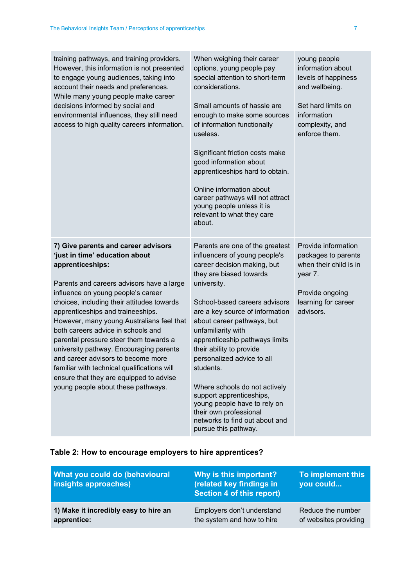| training pathways, and training providers.<br>However, this information is not presented<br>to engage young audiences, taking into<br>account their needs and preferences.<br>While many young people make career<br>decisions informed by social and<br>environmental influences, they still need<br>access to high quality careers information.                                                                                                                                                                                                                                                             | When weighing their career<br>options, young people pay<br>special attention to short-term<br>considerations.<br>Small amounts of hassle are<br>enough to make some sources<br>of information functionally<br>useless.<br>Significant friction costs make<br>good information about<br>apprenticeships hard to obtain.<br>Online information about<br>career pathways will not attract<br>young people unless it is<br>relevant to what they care<br>about.                                                                                                 | young people<br>information about<br>levels of happiness<br>and wellbeing.<br>Set hard limits on<br>information<br>complexity, and<br>enforce them. |
|---------------------------------------------------------------------------------------------------------------------------------------------------------------------------------------------------------------------------------------------------------------------------------------------------------------------------------------------------------------------------------------------------------------------------------------------------------------------------------------------------------------------------------------------------------------------------------------------------------------|-------------------------------------------------------------------------------------------------------------------------------------------------------------------------------------------------------------------------------------------------------------------------------------------------------------------------------------------------------------------------------------------------------------------------------------------------------------------------------------------------------------------------------------------------------------|-----------------------------------------------------------------------------------------------------------------------------------------------------|
| 7) Give parents and career advisors<br>'just in time' education about<br>apprenticeships:<br>Parents and careers advisors have a large<br>influence on young people's career<br>choices, including their attitudes towards<br>apprenticeships and traineeships.<br>However, many young Australians feel that<br>both careers advice in schools and<br>parental pressure steer them towards a<br>university pathway. Encouraging parents<br>and career advisors to become more<br>familiar with technical qualifications will<br>ensure that they are equipped to advise<br>young people about these pathways. | Parents are one of the greatest<br>influencers of young people's<br>career decision making, but<br>they are biased towards<br>university.<br>School-based careers advisors<br>are a key source of information<br>about career pathways, but<br>unfamiliarity with<br>apprenticeship pathways limits<br>their ability to provide<br>personalized advice to all<br>students.<br>Where schools do not actively<br>support apprenticeships,<br>young people have to rely on<br>their own professional<br>networks to find out about and<br>pursue this pathway. | Provide information<br>packages to parents<br>when their child is in<br>year 7.<br>Provide ongoing<br>learning for career<br>advisors.              |

#### **Table 2: How to encourage employers to hire apprentices?**

| What you could do (behavioural<br>insights approaches) | Why is this important?<br>(related key findings in<br>Section 4 of this report) | To implement this<br>vou could |
|--------------------------------------------------------|---------------------------------------------------------------------------------|--------------------------------|
| 1) Make it incredibly easy to hire an                  | Employers don't understand                                                      | Reduce the number              |
| apprentice:                                            | the system and how to hire                                                      | of websites providing          |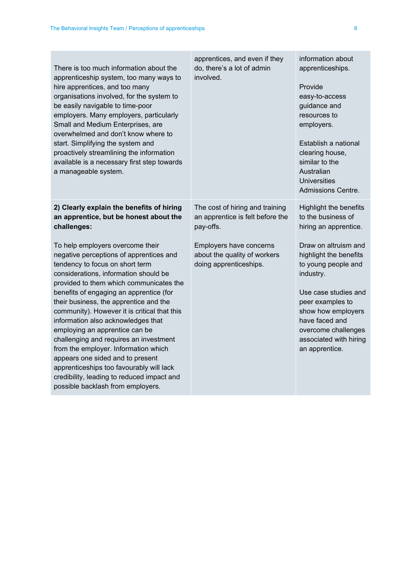| There is too much information about the<br>apprenticeship system, too many ways to<br>hire apprentices, and too many<br>organisations involved, for the system to<br>be easily navigable to time-poor<br>employers. Many employers, particularly<br>Small and Medium Enterprises, are<br>overwhelmed and don't know where to<br>start. Simplifying the system and<br>proactively streamlining the information<br>available is a necessary first step towards<br>a manageable system.                                                                                                                                                                                 | apprentices, and even if they<br>do, there's a lot of admin<br>involved.          | information about<br>apprenticeships.<br>Provide<br>easy-to-access<br>guidance and<br>resources to<br>employers.<br>Establish a national<br>clearing house,<br>similar to the<br>Australian<br><b>Universities</b><br>Admissions Centre.  |
|----------------------------------------------------------------------------------------------------------------------------------------------------------------------------------------------------------------------------------------------------------------------------------------------------------------------------------------------------------------------------------------------------------------------------------------------------------------------------------------------------------------------------------------------------------------------------------------------------------------------------------------------------------------------|-----------------------------------------------------------------------------------|-------------------------------------------------------------------------------------------------------------------------------------------------------------------------------------------------------------------------------------------|
| 2) Clearly explain the benefits of hiring<br>an apprentice, but be honest about the<br>challenges:                                                                                                                                                                                                                                                                                                                                                                                                                                                                                                                                                                   | The cost of hiring and training<br>an apprentice is felt before the<br>pay-offs.  | <b>Highlight the benefits</b><br>to the business of<br>hiring an apprentice.                                                                                                                                                              |
| To help employers overcome their<br>negative perceptions of apprentices and<br>tendency to focus on short term<br>considerations, information should be<br>provided to them which communicates the<br>benefits of engaging an apprentice (for<br>their business, the apprentice and the<br>community). However it is critical that this<br>information also acknowledges that<br>employing an apprentice can be<br>challenging and requires an investment<br>from the employer. Information which<br>appears one sided and to present<br>apprenticeships too favourably will lack<br>credibility, leading to reduced impact and<br>possible backlash from employers. | Employers have concerns<br>about the quality of workers<br>doing apprenticeships. | Draw on altruism and<br>highlight the benefits<br>to young people and<br>industry.<br>Use case studies and<br>peer examples to<br>show how employers<br>have faced and<br>overcome challenges<br>associated with hiring<br>an apprentice. |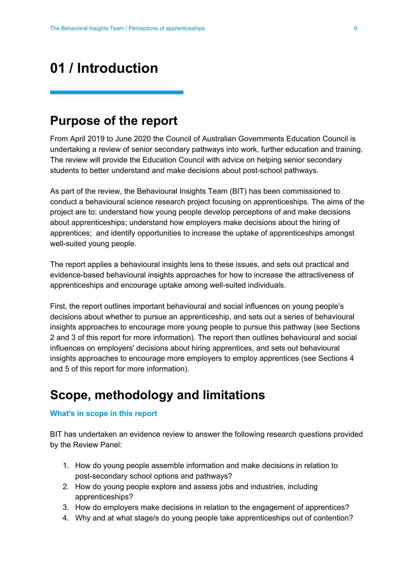## <span id="page-9-0"></span>**01 / Introduction**

### <span id="page-9-1"></span>**Purpose of the report**

From April 2019 to June 2020 the Council of Australian Governments Education Council is undertaking a review of senior secondary pathways into work, further education and training. The review will provide the Education Council with advice on helping senior secondary students to better understand and make decisions about post-school pathways.

As part of the review, the Behavioural Insights Team (BIT) has been commissioned to conduct a behavioural science research project focusing on apprenticeships. The aims of the project are to: understand how young people develop perceptions of and make decisions about apprenticeships; understand how employers make decisions about the hiring of apprentices; and identify opportunities to increase the uptake of apprenticeships amongst well-suited young people.

The report applies a behavioural insights lens to these issues, and sets out practical and evidence-based behavioural insights approaches for how to increase the attractiveness of apprenticeships and encourage uptake among well-suited individuals.

First, the report outlines important behavioural and social influences on young people's decisions about whether to pursue an apprenticeship, and sets out a series of behavioural insights approaches to encourage more young people to pursue this pathway (see Sections 2 and 3 of this report for more information). The report then outlines behavioural and social influences on employers' decisions about hiring apprentices, and sets out behavioural insights approaches to encourage more employers to employ apprentices (see Sections 4 and 5 of this report for more information).

### <span id="page-9-2"></span>**Scope, methodology and limitations**

#### **What's in scope in this report**

BIT has undertaken an evidence review to answer the following research questions provided by the Review Panel:

- 1. How do young people assemble information and make decisions in relation to post-secondary school options and pathways?
- 2. How do young people explore and assess jobs and industries, including apprenticeships?
- 3. How do employers make decisions in relation to the engagement of apprentices?
- 4. Why and at what stage/s do young people take apprenticeships out of contention?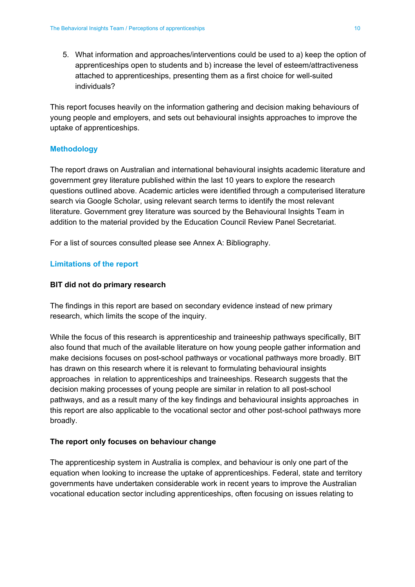5. What information and approaches/interventions could be used to a) keep the option of apprenticeships open to students and b) increase the level of esteem/attractiveness attached to apprenticeships, presenting them as a first choice for well-suited individuals?

This report focuses heavily on the information gathering and decision making behaviours of young people and employers, and sets out behavioural insights approaches to improve the uptake of apprenticeships.

#### **Methodology**

The report draws on Australian and international behavioural insights academic literature and government grey literature published within the last 10 years to explore the research questions outlined above. Academic articles were identified through a computerised literature search via Google Scholar, using relevant search terms to identify the most relevant literature. Government grey literature was sourced by the Behavioural Insights Team in addition to the material provided by the Education Council Review Panel Secretariat.

For a list of sources consulted please see Annex A: Bibliography.

#### **Limitations of the report**

#### **BIT did not do primary research**

The findings in this report are based on secondary evidence instead of new primary research, which limits the scope of the inquiry.

While the focus of this research is apprenticeship and traineeship pathways specifically, BIT also found that much of the available literature on how young people gather information and make decisions focuses on post-school pathways or vocational pathways more broadly. BIT has drawn on this research where it is relevant to formulating behavioural insights approaches in relation to apprenticeships and traineeships. Research suggests that the decision making processes of young people are similar in relation to all post-school pathways, and as a result many of the key findings and behavioural insights approaches in this report are also applicable to the vocational sector and other post-school pathways more broadly.

#### **The report only focuses on behaviour change**

The apprenticeship system in Australia is complex, and behaviour is only one part of the equation when looking to increase the uptake of apprenticeships. Federal, state and territory governments have undertaken considerable work in recent years to improve the Australian vocational education sector including apprenticeships, often focusing on issues relating to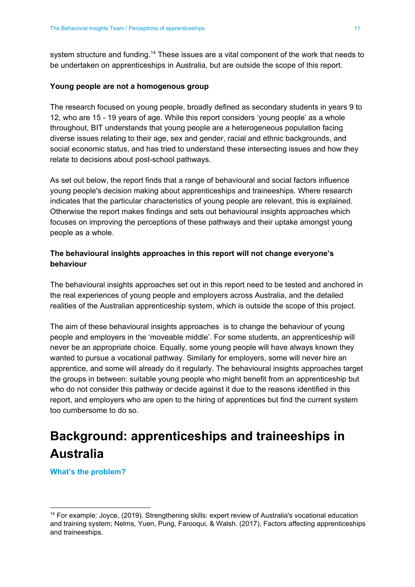system structure and funding.<sup>14</sup> These issues are a vital component of the work that needs to be undertaken on apprenticeships in Australia, but are outside the scope of this report.

#### **Young people are not a homogenous group**

The research focused on young people, broadly defined as secondary students in years 9 to 12, who are 15 - 19 years of age. While this report considers 'young people' as a whole throughout, BIT understands that young people are a heterogeneous population facing diverse issues relating to their age, sex and gender, racial and ethnic backgrounds, and social economic status, and has tried to understand these intersecting issues and how they relate to decisions about post-school pathways.

As set out below, the report finds that a range of behavioural and social factors influence young people's decision making about apprenticeships and traineeships. Where research indicates that the particular characteristics of young people are relevant, this is explained. Otherwise the report makes findings and sets out behavioural insights approaches which focuses on improving the perceptions of these pathways and their uptake amongst young people as a whole.

#### **The behavioural insights approaches in this report will not change everyone's behaviour**

The behavioural insights approaches set out in this report need to be tested and anchored in the real experiences of young people and employers across Australia, and the detailed realities of the Australian apprenticeship system, which is outside the scope of this project.

The aim of these behavioural insights approaches is to change the behaviour of young people and employers in the 'moveable middle'. For some students, an apprenticeship will never be an appropriate choice. Equally, some young people will have always known they wanted to pursue a vocational pathway. Similarly for employers, some will never hire an apprentice, and some will already do it regularly. The behavioural insights approaches target the groups in between: suitable young people who might benefit from an apprenticeship but who do not consider this pathway or decide against it due to the reasons identified in this report, and employers who are open to the hiring of apprentices but find the current system too cumbersome to do so.

### <span id="page-11-0"></span>**Background: apprenticeships and traineeships in Australia**

**What's the problem?**

<sup>14</sup> For example: Joyce, (2019). Strengthening skills: expert review of Australia's vocational education and training system; Nelms, Yuen, Pung, Farooqui, & Walsh. (2017), Factors affecting apprenticeships and traineeships.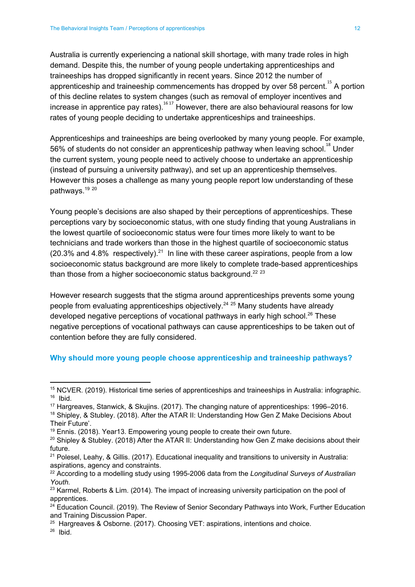Australia is currently experiencing a national skill shortage, with many trade roles in high demand. Despite this, the number of young people undertaking apprenticeships and traineeships has dropped significantly in recent years. Since 2012 the number of apprenticeship and traineeship commencements has dropped by over 58 percent. $^{15}$  A portion of this decline relates to system changes (such as removal of employer incentives and increase in apprentice pay rates).  $^{16}$  However, there are also behavioural reasons for low rates of young people deciding to undertake apprenticeships and traineeships.

Apprenticeships and traineeships are being overlooked by many young people. For example, 56% of students do not consider an apprenticeship pathway when leaving school. $^{18}$  Under the current system, young people need to actively choose to undertake an apprenticeship (instead of pursuing a university pathway), and set up an apprenticeship themselves. However this poses a challenge as many young people report low understanding of these pathways.<sup>19 20</sup>

Young people's decisions are also shaped by their perceptions of apprenticeships. These perceptions vary by socioeconomic status, with one study finding that young Australians in the lowest quartile of socioeconomic status were four times more likely to want to be technicians and trade workers than those in the highest quartile of socioeconomic status  $(20.3\%$  and 4.8% respectively).<sup>21</sup> In line with these career aspirations, people from a low socioeconomic status background are more likely to complete trade-based apprenticeships than those from a higher socioeconomic status background.<sup>22</sup> <sup>23</sup>

However research suggests that the stigma around apprenticeships prevents some young people from evaluating apprenticeships objectively.<sup>24-25</sup> Many students have already developed negative perceptions of vocational pathways in early high school.<sup>26</sup> These negative perceptions of vocational pathways can cause apprenticeships to be taken out of contention before they are fully considered.

#### **Why should more young people choose apprenticeship and traineeship pathways?**

- <sup>17</sup> Hargreaves, Stanwick, & Skujins. (2017). The changing nature of apprenticeships: 1996–2016.
- <sup>18</sup> Shipley, & Stubley. (2018). After the ATAR II: Understanding How Gen Z Make Decisions About Their Future'.

<sup>&</sup>lt;sup>15</sup> NCVER. (2019). Historical time series of apprenticeships and traineeships in Australia: infographic. <sup>16</sup> Ibid.

<sup>&</sup>lt;sup>19</sup> Ennis. (2018). Year13. Empowering young people to create their own future.

<sup>&</sup>lt;sup>20</sup> Shipley & Stubley. (2018) After the ATAR II: Understanding how Gen Z make decisions about their future.

<sup>21</sup> Polesel, Leahy, & Gillis. (2017). Educational inequality and transitions to university in Australia: aspirations, agency and constraints.

<sup>22</sup> According to a modelling study using 1995-2006 data from the *Longitudinal Surveys of Australian Youth.*

<sup>&</sup>lt;sup>23</sup> Karmel, Roberts & Lim. (2014). The impact of increasing university participation on the pool of apprentices.

<sup>&</sup>lt;sup>24</sup> Education Council. (2019). The Review of Senior Secondary Pathways into Work, Further Education and Training Discussion Paper.

 $25$  Hargreaves & Osborne. (2017). Choosing VET: aspirations, intentions and choice.

<sup>26</sup> Ibid.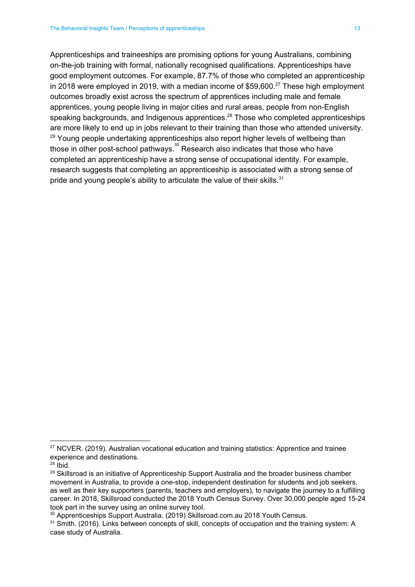Apprenticeships and traineeships are promising options for young Australians, combining on-the-job training with formal, nationally recognised qualifications. Apprenticeships have good employment outcomes. For example, 87.7% of those who completed an apprenticeship in 2018 were employed in 2019, with a median income of \$59,600.<sup>27</sup> These high employment outcomes broadly exist across the spectrum of apprentices including male and female apprentices, young people living in major cities and rural areas, people from non-English speaking backgrounds, and Indigenous apprentices.<sup>28</sup> Those who completed apprenticeships are more likely to end up in jobs relevant to their training than those who attended university. <sup>29</sup> Young people undertaking apprenticeships also report higher levels of wellbeing than those in other post-school pathways. $^{\text{30}}$  Research also indicates that those who have completed an apprenticeship have a strong sense of occupational identity. For example, research suggests that completing an apprenticeship is associated with a strong sense of pride and young people's ability to articulate the value of their skills.<sup>31</sup>

<sup>&</sup>lt;sup>27</sup> NCVER. (2019). Australian vocational education and training statistics: Apprentice and trainee experience and destinations.

 $28$  Ibid.

 $29$  Skillsroad is an initiative of Apprenticeship Support Australia and the broader business chamber movement in Australia, to provide a one-stop, independent destination for students and job seekers, as well as their key supporters (parents, teachers and employers), to navigate the journey to a fulfilling career. In 2018, Skillsroad conducted the 2018 Youth Census Survey. Over 30,000 people aged 15-24 took part in the survey using an online survey tool.

<sup>30</sup> Apprenticeships Support Australia. (2019) Skillsroad.com.au 2018 Youth Census.

<sup>&</sup>lt;sup>31</sup> Smith. (2016). Links between concepts of skill, concepts of occupation and the training system: A case study of Australia.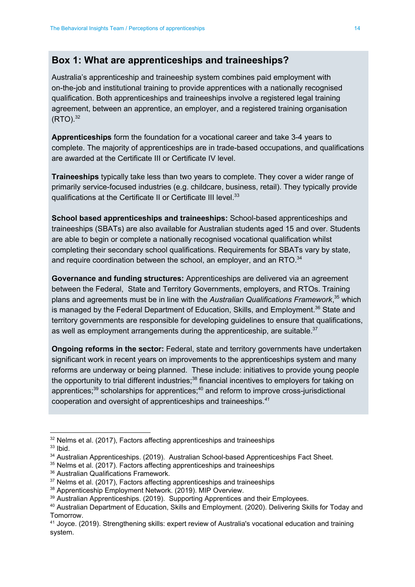#### **Box 1: What are apprenticeships and traineeships?**

Australia's apprenticeship and traineeship system combines paid employment with on-the-job and institutional training to provide apprentices with a nationally recognised qualification. Both apprenticeships and traineeships involve a registered legal training agreement, between an apprentice, an employer, and a registered training organisation  $(RTO).^{32}$ 

**Apprenticeships** form the foundation for a vocational career and take 3-4 years to complete. The majority of apprenticeships are in trade-based occupations, and qualifications are awarded at the Certificate III or Certificate IV level.

**Traineeships** typically take less than two years to complete. They cover a wider range of primarily service-focused industries (e.g. childcare, business, retail). They typically provide qualifications at the Certificate II or Certificate III level.<sup>33</sup>

**School based apprenticeships and traineeships:** School-based apprenticeships and traineeships (SBATs) are also available for Australian students aged 15 and over. Students are able to begin or complete a nationally recognised vocational qualification whilst completing their secondary school qualifications. Requirements for SBATs vary by state, and require coordination between the school, an employer, and an RTO. $34$ 

**Governance and funding structures:** Apprenticeships are delivered via an agreement between the Federal, State and Territory Governments, employers, and RTOs. Training plans and agreements must be in line with the Australian Qualifications Framework,<sup>35</sup> which is managed by the Federal Department of Education, Skills, and Employment.<sup>36</sup> State and territory governments are responsible for developing guidelines to ensure that qualifications, as well as employment arrangements during the apprenticeship, are suitable. $37$ 

**Ongoing reforms in the sector:** Federal, state and territory governments have undertaken significant work in recent years on improvements to the apprenticeships system and many reforms are underway or being planned. These include: initiatives to provide young people the opportunity to trial different industries;<sup>38</sup> financial incentives to employers for taking on apprentices;<sup>39</sup> scholarships for apprentices;<sup>40</sup> and reform to improve cross-jurisdictional cooperation and oversight of apprenticeships and traineeships. *41*

 $32$  Nelms et al. (2017), Factors affecting apprenticeships and traineeships

 $33$  Ibid.

<sup>&</sup>lt;sup>34</sup> Australian Apprenticeships. (2019). Australian School-based Apprenticeships Fact Sheet.

 $35$  Nelms et al. (2017). Factors affecting apprenticeships and traineeships

<sup>36</sup> Australian Qualifications Framework.

<sup>&</sup>lt;sup>37</sup> Nelms et al. (2017), Factors affecting apprenticeships and traineeships

<sup>38</sup> Apprenticeship Employment Network. (2019). MIP Overview.

<sup>&</sup>lt;sup>39</sup> Australian Apprenticeships. (2019). Supporting Apprentices and their Employees.

<sup>40</sup> Australian Department of Education, Skills and Employment. (2020). Delivering Skills for Today and Tomorrow.

<sup>41</sup> Joyce. (2019). Strengthening skills: expert review of Australia's vocational education and training system.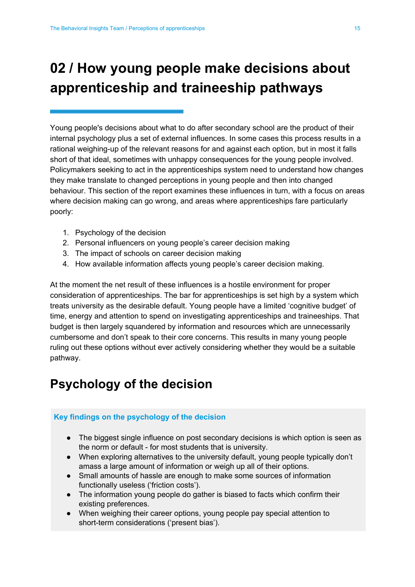## <span id="page-15-0"></span>**02 / How young people make decisions about apprenticeship and traineeship pathways**

Young people's decisions about what to do after secondary school are the product of their internal psychology plus a set of external influences. In some cases this process results in a rational weighing-up of the relevant reasons for and against each option, but in most it falls short of that ideal, sometimes with unhappy consequences for the young people involved. Policymakers seeking to act in the apprenticeships system need to understand how changes they make translate to changed perceptions in young people and then into changed behaviour. This section of the report examines these influences in turn, with a focus on areas where decision making can go wrong, and areas where apprenticeships fare particularly poorly:

- 1. Psychology of the decision
- 2. Personal influencers on young people's career decision making
- 3. The impact of schools on career decision making
- 4. How available information affects young people's career decision making.

At the moment the net result of these influences is a hostile environment for proper consideration of apprenticeships. The bar for apprenticeships is set high by a system which treats university as the desirable default. Young people have a limited 'cognitive budget' of time, energy and attention to spend on investigating apprenticeships and traineeships. That budget is then largely squandered by information and resources which are unnecessarily cumbersome and don't speak to their core concerns. This results in many young people ruling out these options without ever actively considering whether they would be a suitable pathway.

### <span id="page-15-1"></span>**Psychology of the decision**

#### **Key findings on the psychology of the decision**

- The biggest single influence on post secondary decisions is which option is seen as the norm or default - for most students that is university.
- When exploring alternatives to the university default, young people typically don't amass a large amount of information or weigh up all of their options.
- Small amounts of hassle are enough to make some sources of information functionally useless ('friction costs').
- The information young people do gather is biased to facts which confirm their existing preferences.
- When weighing their career options, young people pay special attention to short-term considerations ('present bias').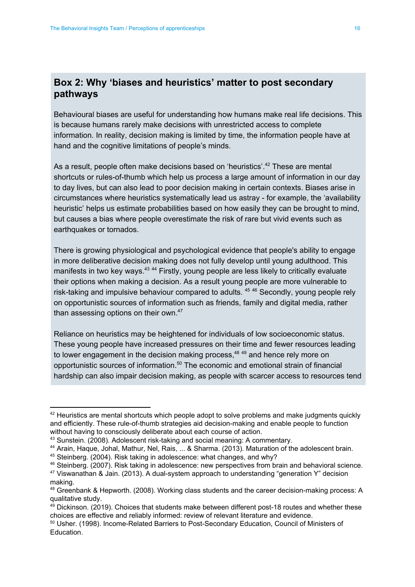#### **Box 2: Why 'biases and heuristics' matter to post secondary pathways**

Behavioural biases are useful for understanding how humans make real life decisions. This is because humans rarely make decisions with unrestricted access to complete information. In reality, decision making is limited by time, the information people have at hand and the cognitive limitations of people's minds.

As a result, people often make decisions based on 'heuristics'.<sup>42</sup> These are mental shortcuts or rules-of-thumb which help us process a large amount of information in our day to day lives, but can also lead to poor decision making in certain contexts. Biases arise in circumstances where heuristics systematically lead us astray - for example, the 'availability heuristic' helps us estimate probabilities based on how easily they can be brought to mind, but causes a bias where people overestimate the risk of rare but vivid events such as earthquakes or tornados.

There is growing physiological and psychological evidence that people's ability to engage in more deliberative decision making does not fully develop until young adulthood. This manifests in two key ways.<sup>43 44</sup> Firstly, young people are less likely to critically evaluate their options when making a decision. As a result young people are more vulnerable to risk-taking and impulsive behaviour compared to adults.  $45,46$  Secondly, young people rely on opportunistic sources of information such as friends, family and digital media, rather than assessing options on their own.<sup>47</sup>

Reliance on heuristics may be heightened for individuals of low socioeconomic status. These young people have increased pressures on their time and fewer resources leading to lower engagement in the decision making process, $48,49$  and hence rely more on opportunistic sources of information. $50$  The economic and emotional strain of financial hardship can also impair decision making, as people with scarcer access to resources tend

 $42$  Heuristics are mental shortcuts which people adopt to solve problems and make judgments quickly and efficiently. These rule-of-thumb strategies aid decision-making and enable people to function without having to consciously deliberate about each course of action.

<sup>43</sup> Sunstein. (2008). Adolescent risk-taking and social meaning: A commentary.

<sup>44</sup> Arain, Haque, Johal, Mathur, Nel, Rais, ... & Sharma. (2013). Maturation of the adolescent brain.

<sup>45</sup> Steinberg. (2004). Risk taking in adolescence: what changes, and why?

<sup>&</sup>lt;sup>46</sup> Steinberg. (2007). Risk taking in adolescence: new perspectives from brain and behavioral science.

 $47$  Viswanathan & Jain. (2013). A dual-system approach to understanding "generation Y" decision making.

<sup>48</sup> Greenbank & Hepworth. (2008). Working class students and the career decision-making process: A qualitative study.

 $49$  Dickinson. (2019). Choices that students make between different post-18 routes and whether these choices are effective and reliably informed: review of relevant literature and evidence.

<sup>50</sup> Usher. (1998). Income-Related Barriers to Post-Secondary Education, Council of Ministers of Education.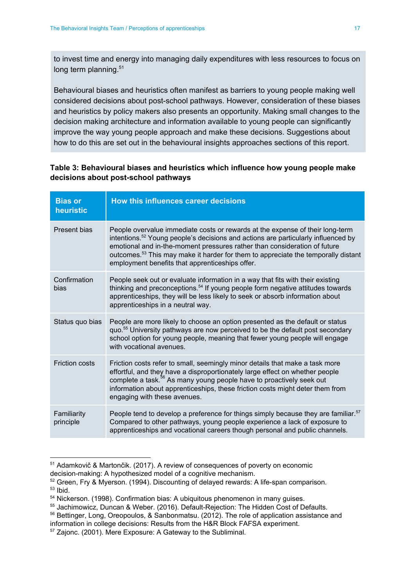to invest time and energy into managing daily expenditures with less resources to focus on long term planning.<sup>51</sup>

Behavioural biases and heuristics often manifest as barriers to young people making well considered decisions about post-school pathways. However, consideration of these biases and heuristics by policy makers also presents an opportunity. Making small changes to the decision making architecture and information available to young people can significantly improve the way young people approach and make these decisions. Suggestions about how to do this are set out in the behavioural insights approaches sections of this report.

#### **Table 3: Behavioural biases and heuristics which influence how young people make decisions about post-school pathways**

| <b>Bias or</b><br>heuristic | How this influences career decisions                                                                                                                                                                                                                                                                                                                                                                            |
|-----------------------------|-----------------------------------------------------------------------------------------------------------------------------------------------------------------------------------------------------------------------------------------------------------------------------------------------------------------------------------------------------------------------------------------------------------------|
| Present bias                | People overvalue immediate costs or rewards at the expense of their long-term<br>intentions. <sup>52</sup> Young people's decisions and actions are particularly influenced by<br>emotional and in-the-moment pressures rather than consideration of future<br>outcomes. <sup>53</sup> This may make it harder for them to appreciate the temporally distant<br>employment benefits that apprenticeships offer. |
| Confirmation<br>bias        | People seek out or evaluate information in a way that fits with their existing<br>thinking and preconceptions. <sup>54</sup> If young people form negative attitudes towards<br>apprenticeships, they will be less likely to seek or absorb information about<br>apprenticeships in a neutral way.                                                                                                              |
| Status quo bias             | People are more likely to choose an option presented as the default or status<br>quo. <sup>55</sup> University pathways are now perceived to be the default post secondary<br>school option for young people, meaning that fewer young people will engage<br>with vocational avenues.                                                                                                                           |
| <b>Friction costs</b>       | Friction costs refer to small, seemingly minor details that make a task more<br>effortful, and they have a disproportionately large effect on whether people<br>complete a task. <sup>56</sup> As many young people have to proactively seek out<br>information about apprenticeships, these friction costs might deter them from<br>engaging with these avenues.                                               |
| Familiarity<br>principle    | People tend to develop a preference for things simply because they are familiar. <sup>57</sup><br>Compared to other pathways, young people experience a lack of exposure to<br>apprenticeships and vocational careers though personal and public channels.                                                                                                                                                      |

<sup>51</sup> Adamkovič & Martončik. (2017). A review of consequences of poverty on economic

decision-making: A hypothesized model of a cognitive mechanism.

<sup>52</sup> Green, Fry & Myerson. (1994). Discounting of delayed rewards: A life-span comparison.  $53$  Ibid.

<sup>&</sup>lt;sup>54</sup> Nickerson. (1998). Confirmation bias: A ubiquitous phenomenon in many guises.

<sup>55</sup> Jachimowicz, Duncan & Weber. (2016). Default-Rejection: The Hidden Cost of Defaults.

<sup>56</sup> Bettinger, Long, Oreopoulos, & [Sanbonmatsu.](http://dx.doi.org/10.1093/qje/qjs017) (2012). The role of application assistance and information in college decisions: Results from the H&R Block FAFSA [experiment.](http://dx.doi.org/10.1093/qje/qjs017)

<sup>57</sup> Zajonc. (2001). Mere Exposure: A Gateway to the [Subliminal.](https://semanticscholar.org/paper/7fceeb29ef3c50c40d4ffdd50853e3e9e13c4449)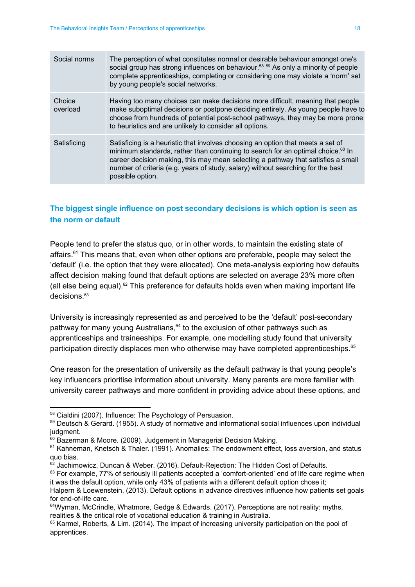| Social norms       | The perception of what constitutes normal or desirable behaviour amongst one's<br>social group has strong influences on behaviour. <sup>58 59</sup> As only a minority of people<br>complete apprenticeships, completing or considering one may violate a 'norm' set<br>by young people's social networks.                                                                |
|--------------------|---------------------------------------------------------------------------------------------------------------------------------------------------------------------------------------------------------------------------------------------------------------------------------------------------------------------------------------------------------------------------|
| Choice<br>overload | Having too many choices can make decisions more difficult, meaning that people<br>make suboptimal decisions or postpone deciding entirely. As young people have to<br>choose from hundreds of potential post-school pathways, they may be more prone<br>to heuristics and are unlikely to consider all options.                                                           |
| Satisficing        | Satisficing is a heuristic that involves choosing an option that meets a set of<br>minimum standards, rather than continuing to search for an optimal choice. <sup>60</sup> In<br>career decision making, this may mean selecting a pathway that satisfies a small<br>number of criteria (e.g. years of study, salary) without searching for the best<br>possible option. |

#### **The biggest single influence on post secondary decisions is which option is seen as the norm or default**

People tend to prefer the status quo, or in other words, to maintain the existing state of affairs.<sup>61</sup> This means that, even when other options are preferable, people may select the 'default' (i.e. the option that they were allocated). One meta-analysis exploring how defaults affect decision making found that default options are selected on average 23% more often (all else being equal).<sup>62</sup> This preference for defaults holds even when making important life decisions. 63

University is increasingly represented as and perceived to be the 'default' post-secondary pathway for many young Australians, $64$  to the exclusion of other pathways such as apprenticeships and traineeships. For example, one modelling study found that university participation directly displaces men who otherwise may have completed apprenticeships.<sup>65</sup>

One reason for the presentation of university as the default pathway is that young people's key influencers prioritise information about university. Many parents are more familiar with university career pathways and more confident in providing advice about these options, and

<sup>58</sup> Cialdini (2007). Influence: The Psychology of Persuasion.

<sup>59</sup> Deutsch & Gerard. (1955). A study of normative and informational social influences upon individual judgment.

<sup>&</sup>lt;sup>60</sup> Bazerman & Moore. (2009). Judgement in Managerial Decision Making.

 $61$  Kahneman, Knetsch & Thaler. (1991). Anomalies: The endowment effect, loss aversion, and status quo bias.

 $62$  Jachimowicz, Duncan & Weber. (2016). Default-Rejection: The Hidden Cost of Defaults.

 $63$  For example, 77% of seriously ill patients accepted a 'comfort-oriented' end of life care regime when it was the default option, while only 43% of patients with a different default option chose it;

Halpern & Loewenstein. (2013). Default options in advance directives influence how patients set goals for end-of-life care.

<sup>&</sup>lt;sup>64</sup>Wyman, McCrindle, Whatmore, Gedge & Edwards. (2017). Perceptions are not reality: myths, realities & the critical role of vocational education & training in Australia.

 $65$  Karmel, Roberts, & Lim. (2014). The impact of increasing university participation on the pool of apprentices.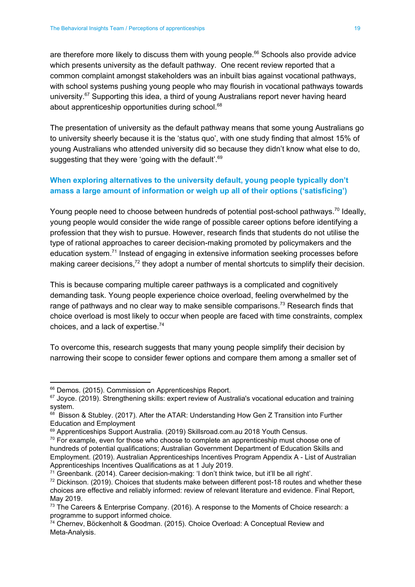are therefore more likely to discuss them with young people. $^{66}$  Schools also provide advice which presents university as the default pathway. One recent review reported that a common complaint amongst stakeholders was an inbuilt bias against vocational pathways, with school systems pushing young people who may flourish in vocational pathways towards university.<sup>67</sup> Supporting this idea, a third of young Australians report never having heard about apprenticeship opportunities during school. 68

The presentation of university as the default pathway means that some young Australians go to university sheerly because it is the 'status quo', with one study finding that almost 15% of young Australians who attended university did so because they didn't know what else to do, suggesting that they were 'going with the default'.<sup>69</sup>

#### **When exploring alternatives to the university default, young people typically don't amass a large amount of information or weigh up all of their options ('satisficing')**

Young people need to choose between hundreds of potential post-school pathways.<sup>70</sup> Ideally, young people would consider the wide range of possible career options before identifying a profession that they wish to pursue. However, research finds that students do not utilise the type of rational approaches to career decision-making promoted by policymakers and the education system.<sup>71</sup> Instead of engaging in extensive information seeking processes before making career decisions,<sup>72</sup> they adopt a number of mental shortcuts to simplify their decision.

This is because comparing multiple career pathways is a complicated and cognitively demanding task. Young people experience choice overload, feeling overwhelmed by the range of pathways and no clear way to make sensible comparisons.<sup>73</sup> Research finds that choice overload is most likely to occur when people are faced with time constraints, complex choices, and a lack of expertise. 74

To overcome this, research suggests that many young people simplify their decision by narrowing their scope to consider fewer options and compare them among a smaller set of

<sup>&</sup>lt;sup>66</sup> Demos. (2015). Commission on Apprenticeships Report.

<sup>&</sup>lt;sup>67</sup> Joyce. (2019). Strengthening skills: expert review of Australia's vocational education and training system.

<sup>68</sup> Bisson & Stubley. (2017). After the ATAR: Understanding How Gen Z Transition into Further Education and Employment

<sup>69</sup> Apprenticeships Support Australia. (2019) Skillsroad.com.au 2018 Youth Census.

 $70$  For example, even for those who choose to complete an apprenticeship must choose one of hundreds of potential qualifications; Australian Government Department of Education Skills and Employment. (2019). Australian Apprenticeships Incentives Program Appendix A - List of Australian Apprenticeships Incentives Qualifications as at 1 July 2019.

 $71$  Greenbank. (2014). Career decision-making: 'I don't think twice, but it'll be all right'.

 $72$  Dickinson. (2019). Choices that students make between different post-18 routes and whether these choices are effective and reliably informed: review of relevant literature and evidence. Final Report, May 2019.

<sup>&</sup>lt;sup>73</sup> The Careers & Enterprise Company. (2016). A response to the Moments of Choice research: a programme to support informed choice.

<sup>74</sup> Chernev, Böckenholt & Goodman. (2015). Choice Overload: A [Conceptual](http://paperpile.com/b/ShXKPX/bAHZn) Review and [Meta-Analysis.](http://paperpile.com/b/ShXKPX/bAHZn)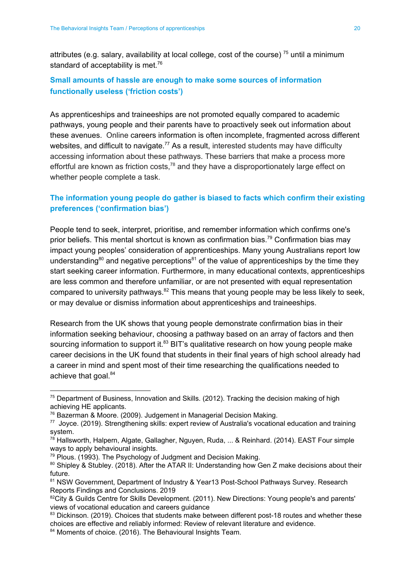attributes (e.g. salary, availability at local college, cost of the course)<sup>75</sup> until a minimum standard of acceptability is met.<sup>76</sup>

#### **Small amounts of hassle are enough to make some sources of information functionally useless ('friction costs')**

As apprenticeships and traineeships are not promoted equally compared to academic pathways, young people and their parents have to proactively seek out information about these avenues. Online careers information is often incomplete, fragmented across different websites, and difficult to navigate.<sup>77</sup> As a result, interested students may have difficulty accessing information about these pathways. These barriers that make a process more effortful are known as friction costs,<sup>78</sup> and they have a disproportionately large effect on whether people complete a task.

#### **The information young people do gather is biased to facts which confirm their existing preferences ('confirmation bias')**

People tend to seek, interpret, prioritise, and remember information which confirms one's prior beliefs. This mental shortcut is known as confirmation bias.<sup>79</sup> Confirmation bias may impact young peoples' consideration of apprenticeships. Many young Australians report low understanding<sup>80</sup> and negative perceptions<sup>81</sup> of the value of apprenticeships by the time they start seeking career information. Furthermore, in many educational contexts, apprenticeships are less common and therefore unfamiliar, or are not presented with equal representation compared to university pathways. $82$  This means that young people may be less likely to seek, or may devalue or dismiss information about apprenticeships and traineeships.

Research from the UK shows that young people demonstrate confirmation bias in their information seeking behaviour, choosing a pathway based on an array of factors and then sourcing information to support it. $^{83}$  BIT's qualitative research on how young people make career decisions in the UK found that students in their final years of high school already had a career in mind and spent most of their time researching the qualifications needed to achieve that goal.<sup>84</sup>

<sup>75</sup> Department of Business, Innovation and Skills. (2012). Tracking the decision making of high achieving HE applicants.

<sup>76</sup> Bazerman & Moore. (2009). Judgement in Managerial Decision Making.

<sup>77</sup> Joyce. (2019). Strengthening skills: expert review of Australia's vocational education and training system.

<sup>&</sup>lt;sup>78</sup> Hallsworth, Halpern, Algate, Gallagher, Nguyen, Ruda, ... & Reinhard. (2014). EAST Four simple ways to apply behavioural insights.

<sup>79</sup> Plous. (1993). The Psychology of Judgment and Decision Making.

 $80$  Shipley & Stubley. (2018). After the ATAR II: Understanding how Gen Z make decisions about their future.

<sup>81</sup> NSW Government, Department of Industry & Year13 Post-School Pathways Survey. Research Reports Findings and Conclusions. 2019

<sup>&</sup>lt;sup>82</sup>City & Guilds Centre for Skills Development. (2011). New Directions: Young people's and parents' views of vocational education and careers guidance

<sup>83</sup> Dickinson. (2019). Choices that students make between different post-18 routes and whether these choices are effective and reliably informed: Review of relevant literature and evidence.

<sup>84</sup> Moments of choice. (2016). The Behavioural Insights Team.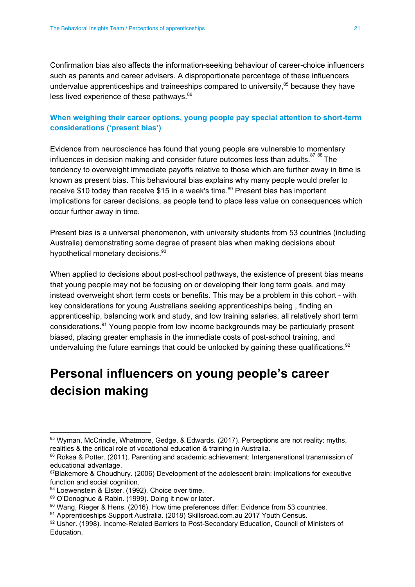Confirmation bias also affects the information-seeking behaviour of career-choice influencers such as parents and career advisers. A disproportionate percentage of these influencers undervalue apprenticeships and traineeships compared to university, $85$  because they have less lived experience of these pathways.<sup>86</sup>

#### **When weighing their career options, young people pay special attention to short-term considerations ('present bias')**

Evidence from neuroscience has found that young people are vulnerable to momentary influences in decision making and consider future outcomes less than adults. $18788$  The tendency to overweight immediate payoffs relative to those which are further away in time is known as present bias. This behavioural bias explains why many people would prefer to receive \$10 today than receive \$15 in a week's time.<sup>89</sup> Present bias has important implications for career decisions, as people tend to place less value on consequences which occur further away in time.

Present bias is a universal phenomenon, with university students from 53 countries (including Australia) demonstrating some degree of present bias when making decisions about hypothetical monetary decisions.<sup>90</sup>

When applied to decisions about post-school pathways, the existence of present bias means that young people may not be focusing on or developing their long term goals, and may instead overweight short term costs or benefits. This may be a problem in this cohort - with key considerations for young Australians seeking apprenticeships being , finding an apprenticeship, balancing work and study, and low training salaries, all relatively short term considerations.<sup>91</sup> Young people from low income backgrounds may be particularly present biased, placing greater emphasis in the immediate costs of post-school training, and undervaluing the future earnings that could be unlocked by gaining these qualifications. $92$ 

## <span id="page-21-0"></span>**Personal influencers on young people's career decision making**

<sup>85</sup> Wyman, McCrindle, Whatmore, Gedge, & Edwards. (2017). Perceptions are not reality: myths, realities & the critical role of vocational education & training in Australia.

<sup>&</sup>lt;sup>86</sup> Roksa & Potter. (2011). Parenting and academic achievement: Intergenerational transmission of educational advantage.

<sup>&</sup>lt;sup>87</sup>Blakemore & Choudhury. (2006) Development of the adolescent brain: implications for executive function and social cognition.

<sup>88</sup> Loewenstein & Elster. (1992). Choice over time.

<sup>89</sup> O'Donoghue & Rabin. (1999). Doing it now or later.

<sup>90</sup> Wang, Rieger & Hens. (2016). How time preferences differ: Evidence from 53 countries.

<sup>91</sup> Apprenticeships Support Australia. (2018) Skillsroad.com.au 2017 Youth Census.

<sup>92</sup> Usher. (1998). Income-Related Barriers to Post-Secondary Education, Council of Ministers of Education.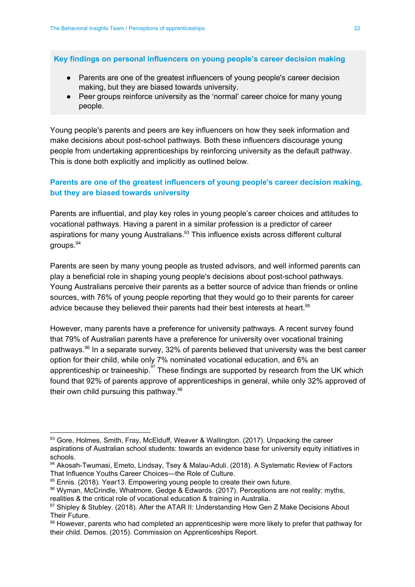**Key findings on personal influencers on young people's career decision making**

- Parents are one of the greatest influencers of young people's career decision making, but they are biased towards university.
- Peer groups reinforce university as the 'normal' career choice for many young people.

Young people's parents and peers are key influencers on how they seek information and make decisions about post-school pathways. Both these influencers discourage young people from undertaking apprenticeships by reinforcing university as the default pathway. This is done both explicitly and implicitly as outlined below.

#### **Parents are one of the greatest influencers of young people's career decision making, but they are biased towards university**

Parents are influential, and play key roles in young people's career choices and attitudes to vocational pathways. Having a parent in a similar profession is a predictor of career aspirations for many young Australians.<sup>93</sup> This influence exists across different cultural groups. 94

Parents are seen by many young people as trusted advisors, and well informed parents can play a beneficial role in shaping young people's decisions about post-school pathways. Young Australians perceive their parents as a better source of advice than friends or online sources, with 76% of young people reporting that they would go to their parents for career advice because they believed their parents had their best interests at heart.<sup>95</sup>

However, many parents have a preference for university pathways. A recent survey found that 79% of Australian parents have a preference for university over vocational training pathways.<sup>96</sup> In a separate survey, 32% of parents believed that university was the best career option for their child, while only 7% nominated vocational education, and 6% an apprenticeship or traineeship. $\frac{37}{7}$  These findings are supported by research from the UK which found that 92% of parents approve of apprenticeships in general, while only 32% approved of their own child pursuing this pathway.<sup>98</sup>

<sup>93</sup> Gore, Holmes, Smith, Fray, McElduff, Weaver & Wallington. (2017). Unpacking the career aspirations of Australian school students: towards an evidence base for university equity initiatives in schools.

<sup>94</sup> Akosah-Twumasi, Emeto, Lindsay, Tsey & Malau-Aduli. (2018). A Systematic Review of Factors That Influence Youths Career Choices—the Role of Culture.

<sup>95</sup> Ennis. (2018). Year13. Empowering young people to create their own future.

<sup>96</sup> Wyman, McCrindle, Whatmore, Gedge & Edwards. (2017). Perceptions are not reality: myths, realities & the critical role of vocational education & training in Australia.

<sup>97</sup> Shipley & Stubley. (2018). After the ATAR II: Understanding How Gen Z Make Decisions About Their Future.

<sup>98</sup> However, parents who had completed an apprenticeship were more likely to prefer that pathway for their child. Demos. (2015). Commission on Apprenticeships Report.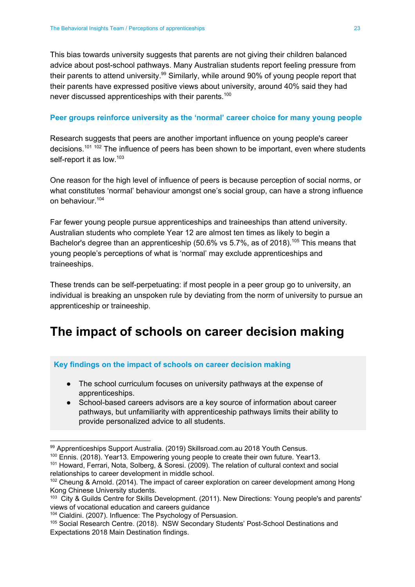This bias towards university suggests that parents are not giving their children balanced advice about post-school pathways. Many Australian students report feeling pressure from their parents to attend university.<sup>99</sup> Similarly, while around 90% of young people report that their parents have expressed positive views about university, around 40% said they had never discussed apprenticeships with their parents.<sup>100</sup>

#### **Peer groups reinforce university as the 'normal' career choice for many young people**

Research suggests that peers are another important influence on young people's career decisions.<sup>101 102</sup> The influence of peers has been shown to be important, even where students self-report it as low.<sup>103</sup>

One reason for the high level of influence of peers is because perception of social norms, or what constitutes 'normal' behaviour amongst one's social group, can have a strong influence on behaviour. 104

Far fewer young people pursue apprenticeships and traineeships than attend university. Australian students who complete Year 12 are almost ten times as likely to begin a Bachelor's degree than an apprenticeship (50.6% vs 5.7%, as of 2018).<sup>105</sup> This means that young people's perceptions of what is 'normal' may exclude apprenticeships and traineeships.

These trends can be self-perpetuating: if most people in a peer group go to university, an individual is breaking an unspoken rule by deviating from the norm of university to pursue an apprenticeship or traineeship.

### <span id="page-23-0"></span>**The impact of schools on career decision making**

#### **Key findings on the impact of schools on career decision making**

- The school curriculum focuses on university pathways at the expense of apprenticeships.
- School-based careers advisors are a key source of information about career pathways, but unfamiliarity with apprenticeship pathways limits their ability to provide personalized advice to all students.

<sup>99</sup> Apprenticeships Support Australia. (2019) Skillsroad.com.au 2018 Youth Census.

<sup>&</sup>lt;sup>100</sup> Ennis. (2018). Year13. Empowering young people to create their own future. Year13.

<sup>101</sup> Howard, Ferrari, Nota, Solberg, & Soresi. (2009). The relation of cultural context and social relationships to career development in middle school.

<sup>&</sup>lt;sup>102</sup> Cheung & Arnold. (2014). The impact of career exploration on career development among Hong Kong Chinese University students.

<sup>&</sup>lt;sup>103</sup> City & Guilds Centre for Skills Development. (2011). New Directions: Young people's and parents' views of vocational education and careers guidance

<sup>&</sup>lt;sup>104</sup> Cialdini. (2007). Influence: The Psychology of Persuasion.

<sup>105</sup> Social Research Centre. (2018). NSW Secondary Students' Post-School Destinations and Expectations 2018 Main Destination findings.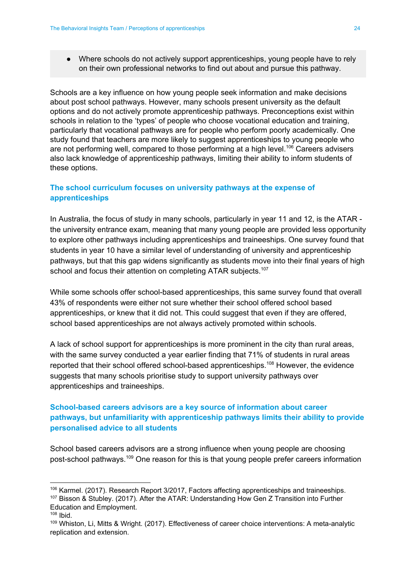● Where schools do not actively support apprenticeships, young people have to rely on their own professional networks to find out about and pursue this pathway.

Schools are a key influence on how young people seek information and make decisions about post school pathways. However, many schools present university as the default options and do not actively promote apprenticeship pathways. Preconceptions exist within schools in relation to the 'types' of people who choose vocational education and training, particularly that vocational pathways are for people who perform poorly academically. One study found that teachers are more likely to suggest apprenticeships to young people who are not performing well, compared to those performing at a high level.<sup>106</sup> Careers advisers also lack knowledge of apprenticeship pathways, limiting their ability to inform students of these options.

#### **The school curriculum focuses on university pathways at the expense of apprenticeships**

In Australia, the focus of study in many schools, particularly in year 11 and 12, is the ATAR the university entrance exam, meaning that many young people are provided less opportunity to explore other pathways including apprenticeships and traineeships. One survey found that students in year 10 have a similar level of understanding of university and apprenticeship pathways, but that this gap widens significantly as students move into their final years of high school and focus their attention on completing ATAR subjects.<sup>107</sup>

While some schools offer school-based apprenticeships, this same survey found that overall 43% of respondents were either not sure whether their school offered school based apprenticeships, or knew that it did not. This could suggest that even if they are offered, school based apprenticeships are not always actively promoted within schools.

A lack of school support for apprenticeships is more prominent in the city than rural areas, with the same survey conducted a year earlier finding that 71% of students in rural areas reported that their school offered school-based apprenticeships.<sup>108</sup> However, the evidence suggests that many schools prioritise study to support university pathways over apprenticeships and traineeships.

#### **School-based careers advisors are a key source of information about career pathways, but unfamiliarity with apprenticeship pathways limits their ability to provide personalised advice to all students**

School based careers advisors are a strong influence when young people are choosing post-school pathways.<sup>109</sup> One reason for this is that young people prefer careers information

<sup>106</sup> Karmel. (2017). Research Report 3/2017, Factors affecting apprenticeships and traineeships.

<sup>107</sup> Bisson & Stubley. (2017). After the ATAR: Understanding How Gen Z Transition into Further Education and Employment.

<sup>108</sup> Ibid.

<sup>109</sup> Whiston, Li, Mitts & Wright. (2017). Effectiveness of career choice interventions: A meta-analytic replication and extension.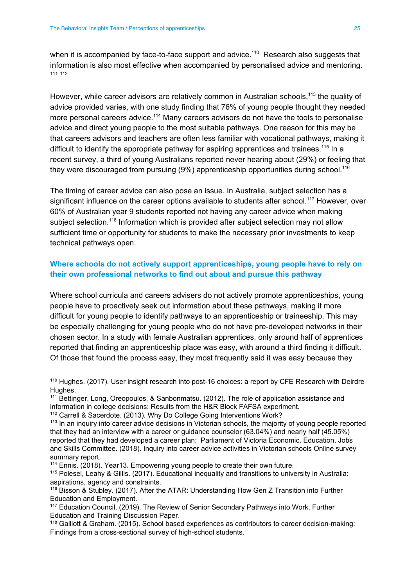when it is accompanied by face-to-face support and advice.<sup>110</sup> Research also suggests that information is also most effective when accompanied by personalised advice and mentoring. 111 112

However, while career advisors are relatively common in Australian schools,<sup>113</sup> the quality of advice provided varies, with one study finding that 76% of young people thought they needed more personal careers advice.<sup>114</sup> Many careers advisors do not have the tools to personalise advice and direct young people to the most suitable pathways. One reason for this may be that careers advisors and teachers are often less familiar with vocational pathways, making it difficult to identify the appropriate pathway for aspiring apprentices and trainees.<sup>115</sup> In a recent survey, a third of young Australians reported never hearing about (29%) or feeling that they were discouraged from pursuing (9%) apprenticeship opportunities during school.<sup>116</sup>

The timing of career advice can also pose an issue. In Australia, subject selection has a significant influence on the career options available to students after school.<sup>117</sup> However, over 60% of Australian year 9 students reported not having any career advice when making subject selection.<sup>118</sup> Information which is provided after subject selection may not allow sufficient time or opportunity for students to make the necessary prior investments to keep technical pathways open.

#### **Where schools do not actively support apprenticeships, young people have to rely on their own professional networks to find out about and pursue this pathway**

Where school curricula and careers advisers do not actively promote apprenticeships, young people have to proactively seek out information about these pathways, making it more difficult for young people to identify pathways to an apprenticeship or traineeship. This may be especially challenging for young people who do not have pre-developed networks in their chosen sector. In a study with female Australian apprentices, only around half of apprentices reported that finding an apprenticeship place was easy, with around a third finding it difficult. Of those that found the process easy, they most frequently said it was easy because they

<sup>&</sup>lt;sup>110</sup> Hughes. (2017). User insight research into post-16 choices: a report by CFE Research with Deirdre Hughes.

<sup>&</sup>lt;sup>111</sup> Bettinger, Long, Oreopoulos, & [Sanbonmatsu.](http://dx.doi.org/10.1093/qje/qjs017) (2012). The role of application assistance and information in college decisions: Results from the H&R Block FAFSA [experiment.](http://dx.doi.org/10.1093/qje/qjs017)

<sup>&</sup>lt;sup>112</sup> Carrell & Sacerdote. (2013). Why Do College Going [Interventions](http://dx.doi.org/10.3386/w19031) Work?

<sup>&</sup>lt;sup>113</sup> In an inquiry into career advice decisions in Victorian schools, the majority of young people reported that they had an interview with a career or guidance counselor (63.04%) and nearly half (45.05%) reported that they had developed a career plan; Parliament of Victoria Economic, Education, Jobs and Skills Committee. (2018). Inquiry into career advice activities in Victorian schools Online survey summary report.

<sup>&</sup>lt;sup>114</sup> Ennis. (2018). Year13. Empowering young people to create their own future.

<sup>115</sup> Polesel, Leahy & Gillis. (2017). Educational inequality and transitions to university in Australia: aspirations, agency and constraints.

<sup>116</sup> Bisson & Stubley. (2017). After the ATAR: Understanding How Gen Z Transition into Further Education and Employment.

<sup>117</sup> Education Council. (2019). The Review of Senior Secondary Pathways into Work, Further Education and Training Discussion Paper.

<sup>118</sup> Galliott & Graham. (2015). School based experiences as contributors to career decision-making: Findings from a cross-sectional survey of high-school students.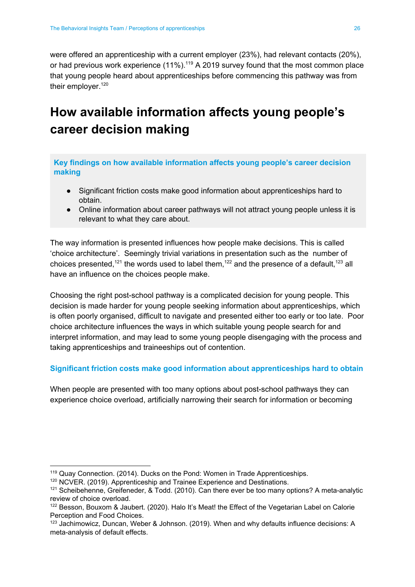were offered an apprenticeship with a current employer (23%), had relevant contacts (20%), or had previous work experience  $(11\%)$ .<sup>119</sup> A 2019 survey found that the most common place that young people heard about apprenticeships before commencing this pathway was from their employer.<sup>120</sup>

## <span id="page-26-0"></span>**How available information affects young people's career decision making**

**Key findings on how available information affects young people's career decision making**

- Significant friction costs make good information about apprenticeships hard to obtain.
- Online information about career pathways will not attract young people unless it is relevant to what they care about.

The way information is presented influences how people make decisions. This is called 'choice architecture'. Seemingly trivial variations in presentation such as the number of choices presented,<sup>121</sup> the words used to label them,<sup>122</sup> and the presence of a default,<sup>123</sup> all have an influence on the choices people make.

Choosing the right post-school pathway is a complicated decision for young people. This decision is made harder for young people seeking information about apprenticeships, which is often poorly organised, difficult to navigate and presented either too early or too late. Poor choice architecture influences the ways in which suitable young people search for and interpret information, and may lead to some young people disengaging with the process and taking apprenticeships and traineeships out of contention.

#### **Significant friction costs make good information about apprenticeships hard to obtain**

When people are presented with too many options about post-school pathways they can experience choice overload, artificially narrowing their search for information or becoming

<sup>119</sup> Quay Connection. (2014). Ducks on the Pond: Women in Trade Apprenticeships.

<sup>&</sup>lt;sup>120</sup> NCVER. (2019). Apprenticeship and Trainee Experience and Destinations.

<sup>&</sup>lt;sup>121</sup> Scheibehenne, Greifeneder, & Todd. (2010). Can there ever be too many options? A meta-analytic review of choice overload.

<sup>122</sup> Besson, Bouxom & Jaubert. (2020). Halo It's Meat! the Effect of the Vegetarian Label on Calorie Perception and Food Choices.

<sup>&</sup>lt;sup>123</sup> Jachimowicz, Duncan, Weber & Johnson. (2019). When and why defaults influence decisions: A meta-analysis of default effects.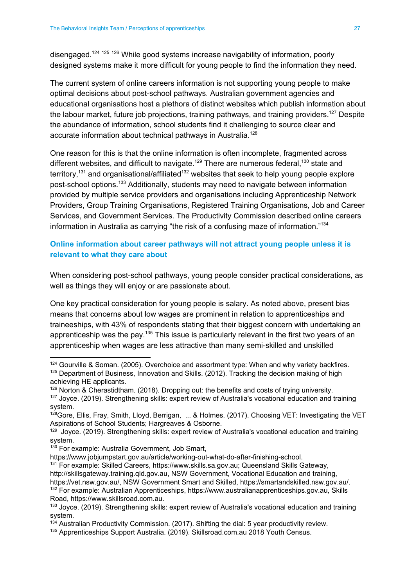disengaged.<sup>124 125 126</sup> While good systems increase navigability of information, poorly designed systems make it more difficult for young people to find the information they need.

The current system of online careers information is not supporting young people to make optimal decisions about post-school pathways. Australian government agencies and educational organisations host a plethora of distinct websites which publish information about the labour market, future job projections, training pathways, and training providers.<sup>127</sup> Despite the abundance of information, school students find it challenging to source clear and accurate information about technical pathways in Australia.<sup>128</sup>

One reason for this is that the online information is often incomplete, fragmented across different websites, and difficult to navigate.<sup>129</sup> There are numerous federal,<sup>130</sup> state and territory,<sup>131</sup> and organisational/affiliated<sup>132</sup> websites that seek to help young people explore post-school options.<sup>133</sup> Additionally, students may need to navigate between information provided by multiple service providers and organisations including Apprenticeship Network Providers, Group Training Organisations, Registered Training Organisations, Job and Career Services, and Government Services. The Productivity Commission described online careers information in Australia as carrying "the risk of a confusing maze of information." 134

#### **Online information about career pathways will not attract young people unless it is relevant to what they care about**

When considering post-school pathways, young people consider practical considerations, as well as things they will enjoy or are passionate about.

One key practical consideration for young people is salary. As noted above, present bias means that concerns about low wages are prominent in relation to apprenticeships and traineeships, with 43% of respondents stating that their biggest concern with undertaking an apprenticeship was the pay.<sup>135</sup> This issue is particularly relevant in the first two years of an apprenticeship when wages are less attractive than many semi-skilled and unskilled

<sup>131</sup> For example: Skilled Careers, [https://www.skills.sa.gov.au;](https://www.skills.sa.gov.au/) Queensland Skills Gateway, [http://skillsgateway.training.qld.gov.au](http://skillsgateway.training.qld.gov.au/), NSW Government, Vocational Education and training, [https://vet.nsw.gov.au/,](https://vet.nsw.gov.au/) NSW Government Smart and Skilled, [https://smartandskilled.nsw.gov.au/.](https://smartandskilled.nsw.gov.au/) <sup>132</sup> For example: Australian Apprenticeships, [https://www.australianapprenticeships.gov.au,](https://www.australianapprenticeships.gov.au/) Skills Road, https://www.skillsroad.com.au.

 $124$  Gourville & Soman. (2005). Overchoice and assortment type: When and why variety backfires. <sup>125</sup> Department of Business, Innovation and Skills. (2012). Tracking the decision making of high achieving HE applicants.

<sup>126</sup> Norton & Cherastidtham. (2018). Dropping out: the benefits and costs of trying university.

<sup>&</sup>lt;sup>127</sup> Joyce. (2019). Strengthening skills: expert review of Australia's vocational education and training system.

<sup>&</sup>lt;sup>128</sup>Gore, Ellis, Fray, Smith, Lloyd, Berrigan, ... & Holmes. (2017). Choosing VET: Investigating the VET Aspirations of School Students; Hargreaves & Osborne.

<sup>&</sup>lt;sup>129</sup> Joyce. (2019). Strengthening skills: expert review of Australia's vocational education and training system.

<sup>&</sup>lt;sup>130</sup> For example: Australia Government, Job Smart,

<https://www.jobjumpstart.gov.au/article/working-out-what-do-after-finishing-school>.

<sup>&</sup>lt;sup>133</sup> Joyce. (2019). Strengthening skills: expert review of Australia's vocational education and training system.

 $134$  Australian Productivity Commission. (2017). Shifting the dial: 5 year productivity review.

<sup>135</sup> Apprenticeships Support Australia. (2019). Skillsroad.com.au 2018 Youth Census.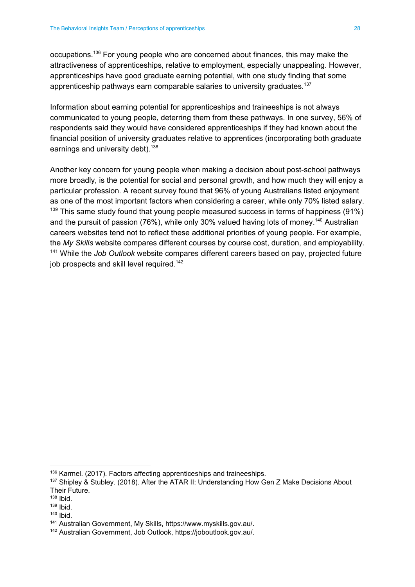occupations.<sup>136</sup> For young people who are concerned about finances, this may make the attractiveness of apprenticeships, relative to employment, especially unappealing. However, apprenticeships have good graduate earning potential, with one study finding that some apprenticeship pathways earn comparable salaries to university graduates.<sup>137</sup>

Information about earning potential for apprenticeships and traineeships is not always communicated to young people, deterring them from these pathways. In one survey, 56% of respondents said they would have considered apprenticeships if they had known about the financial position of university graduates relative to apprentices (incorporating both graduate earnings and university debt).<sup>138</sup>

Another key concern for young people when making a decision about post-school pathways more broadly, is the potential for social and personal growth, and how much they will enjoy a particular profession. A recent survey found that 96% of young Australians listed enjoyment as one of the most important factors when considering a career, while only 70% listed salary.  $139$  This same study found that young people measured success in terms of happiness (91%) and the pursuit of passion (76%), while only 30% valued having lots of money.<sup>140</sup> Australian careers websites tend not to reflect these additional priorities of young people. For example, the *My Skills* website compares different courses by course cost, duration, and employability. <sup>141</sup> While the *Job Outlook* website compares different careers based on pay, projected future job prospects and skill level required.<sup>142</sup>

<sup>&</sup>lt;sup>136</sup> Karmel. (2017). Factors affecting apprenticeships and traineeships.

<sup>137</sup> Shipley & Stubley. (2018). After the ATAR II: Understanding How Gen Z Make Decisions About Their Future.

<sup>138</sup> Ibid.

<sup>139</sup> Ibid.

<sup>140</sup> Ibid.

<sup>141</sup> Australian Government, My Skills, [https://www.myskills.gov.au/.](https://www.myskills.gov.au/)

<sup>142</sup> Australian Government, Job Outlook, https://joboutlook.gov.au/.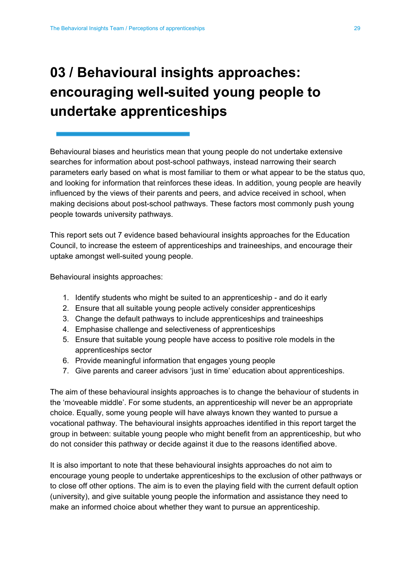## <span id="page-29-0"></span>**03 / Behavioural insights approaches: encouraging well-suited young people to undertake apprenticeships**

Behavioural biases and heuristics mean that young people do not undertake extensive searches for information about post-school pathways, instead narrowing their search parameters early based on what is most familiar to them or what appear to be the status quo, and looking for information that reinforces these ideas. In addition, young people are heavily influenced by the views of their parents and peers, and advice received in school, when making decisions about post-school pathways. These factors most commonly push young people towards university pathways.

This report sets out 7 evidence based behavioural insights approaches for the Education Council, to increase the esteem of apprenticeships and traineeships, and encourage their uptake amongst well-suited young people.

Behavioural insights approaches:

- 1. Identify students who might be suited to an apprenticeship and do it early
- 2. Ensure that all suitable young people actively consider apprenticeships
- 3. Change the default pathways to include apprenticeships and traineeships
- 4. Emphasise challenge and selectiveness of apprenticeships
- 5. Ensure that suitable young people have access to positive role models in the apprenticeships sector
- 6. Provide meaningful information that engages young people
- 7. Give parents and career advisors 'just in time' education about apprenticeships.

The aim of these behavioural insights approaches is to change the behaviour of students in the 'moveable middle'. For some students, an apprenticeship will never be an appropriate choice. Equally, some young people will have always known they wanted to pursue a vocational pathway. The behavioural insights approaches identified in this report target the group in between: suitable young people who might benefit from an apprenticeship, but who do not consider this pathway or decide against it due to the reasons identified above.

It is also important to note that these behavioural insights approaches do not aim to encourage young people to undertake apprenticeships to the exclusion of other pathways or to close off other options. The aim is to even the playing field with the current default option (university), and give suitable young people the information and assistance they need to make an informed choice about whether they want to pursue an apprenticeship.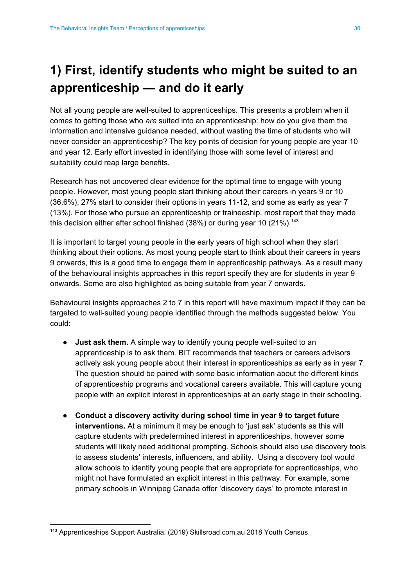## <span id="page-30-0"></span>**1) First, identify students who might be suited to an apprenticeship — and do it early**

Not all young people are well-suited to apprenticeships. This presents a problem when it comes to getting those who *are* suited into an apprenticeship: how do you give them the information and intensive guidance needed, without wasting the time of students who will never consider an apprenticeship? The key points of decision for young people are year 10 and year 12. Early effort invested in identifying those with some level of interest and suitability could reap large benefits.

Research has not uncovered clear evidence for the optimal time to engage with young people. However, most young people start thinking about their careers in years 9 or 10 (36.6%), 27% start to consider their options in years 11-12, and some as early as year 7 (13%). For those who pursue an apprenticeship or traineeship, most report that they made this decision either after school finished (38%) or during year 10 (21%).<sup>143</sup>

It is important to target young people in the early years of high school when they start thinking about their options. As most young people start to think about their careers in years 9 onwards, this is a good time to engage them in apprenticeship pathways. As a result many of the behavioural insights approaches in this report specify they are for students in year 9 onwards. Some are also highlighted as being suitable from year 7 onwards.

Behavioural insights approaches 2 to 7 in this report will have maximum impact if they can be targeted to well-suited young people identified through the methods suggested below. You could:

- **Just ask them.** A simple way to identify young people well-suited to an apprenticeship is to ask them. BIT recommends that teachers or careers advisors actively ask young people about their interest in apprenticeships as early as in year 7. The question should be paired with some basic information about the different kinds of apprenticeship programs and vocational careers available. This will capture young people with an explicit interest in apprenticeships at an early stage in their schooling.
- **Conduct a discovery activity during school time in year 9 to target future interventions.** At a minimum it may be enough to 'just ask' students as this will capture students with predetermined interest in apprenticeships, however some students will likely need additional prompting. Schools should also use discovery tools to assess students' interests, influencers, and ability. Using a discovery tool would allow schools to identify young people that are appropriate for apprenticeships, who might not have formulated an explicit interest in this pathway. For example, some primary schools in Winnipeg Canada offer 'discovery days' to promote interest in

<sup>143</sup> Apprenticeships Support Australia. (2019) Skillsroad.com.au 2018 Youth Census.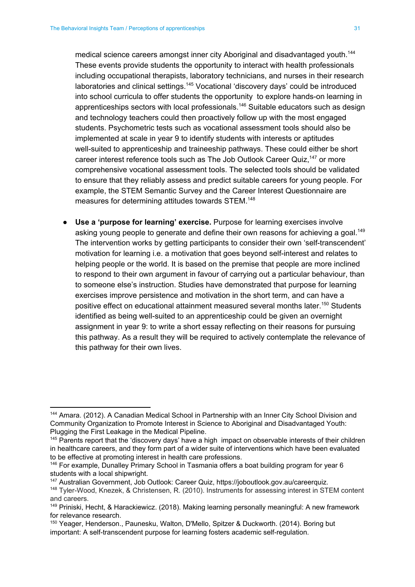medical science careers amongst inner city Aboriginal and disadvantaged youth.<sup>144</sup> These events provide students the opportunity to interact with health professionals including occupational therapists, laboratory technicians, and nurses in their research laboratories and clinical settings.<sup>145</sup> Vocational 'discovery days' could be introduced into school curricula to offer students the opportunity to explore hands-on learning in apprenticeships sectors with local professionals.<sup>146</sup> Suitable educators such as design and technology teachers could then proactively follow up with the most engaged students. Psychometric tests such as vocational assessment tools should also be implemented at scale in year 9 to identify students with interests or aptitudes well-suited to [apprenticeship](#page-15-0) and traineeship pathways. These could either be short career interest reference tools such as The Job Outlook Career Quiz,<sup>147</sup> or more comprehensive vocational assessment tools. The selected tools should be validated to ensure that they reliably assess and predict suitable careers for young people. For example, the STEM Semantic Survey and the Career Interest Questionnaire are measures for determining attitudes towards STEM.<sup>148</sup>

● **Use a 'purpose for learning' exercise.** Purpose for learning exercises involve asking young people to generate and define their own reasons for achieving a goal.<sup>149</sup> The intervention works by getting participants to consider their own 'self-transcendent' motivation for learning i.e. a motivation that goes beyond self-interest and relates to helping people or the world. It is based on the premise that people are more inclined to respond to their own argument in favour of carrying out a particular behaviour, than to someone else's instruction. Studies have demonstrated that purpose for learning exercises improve persistence and motivation in the short term, and can have a positive effect on educational attainment measured several months later.<sup>150</sup> Students identified as being well-suited to an apprenticeship could be given an overnight assignment in year 9: to write a short essay reflecting on their reasons for pursuing this pathway. As a result they will be required to actively contemplate the relevance of this pathway for their own lives.

<sup>144</sup> Amara. (2012). A Canadian Medical School in Partnership with an Inner City School Division and Community Organization to Promote Interest in Science to Aboriginal and Disadvantaged Youth: Plugging the First Leakage in the Medical Pipeline.

<sup>&</sup>lt;sup>145</sup> Parents report that the 'discovery days' have a high impact on observable interests of their children in healthcare careers, and they form part of a wider suite of interventions which have been evaluated to be effective at promoting interest in health care professions.

<sup>&</sup>lt;sup>146</sup> For example, Dunalley Primary School in Tasmania offers a boat building program for year 6 students with a local shipwright.

<sup>&</sup>lt;sup>147</sup> Australian Government, Job Outlook: Career Quiz, <https://joboutlook.gov.au/careerquiz>.

<sup>148</sup> Tyler-Wood, Knezek, & Christensen, R. (2010). Instruments for assessing interest in STEM content and careers.

<sup>149</sup> Priniski, Hecht, & Harackiewicz. (2018). Making learning personally meaningful: A new framework for relevance research.

<sup>150</sup> Yeager, Henderson., Paunesku, Walton, D'Mello, Spitzer & Duckworth. (2014). Boring but important: A self-transcendent purpose for learning fosters academic self-regulation.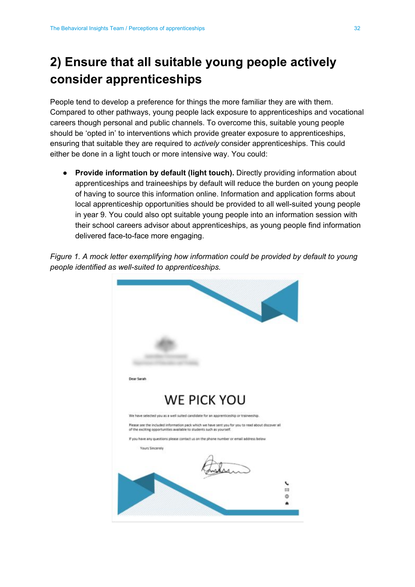### <span id="page-32-0"></span>**2) Ensure that all suitable young people actively consider apprenticeships**

People tend to develop a preference for things the more familiar they are with them. Compared to other pathways, young people lack exposure to apprenticeships and vocational careers though personal and public channels. To overcome this, suitable young people should be 'opted in' to interventions which provide greater exposure to apprenticeships, ensuring that suitable they are required to *actively* consider apprenticeships. This could either be done in a light touch or more intensive way. You could:

● **Provide information by default (light touch).** Directly providing information about apprenticeships and traineeships by default will reduce the burden on young people of having to source this information online. Information and application forms about local apprenticeship opportunities should be provided to all well-suited young people in year 9. You could also opt suitable young people into an information session with their school careers advisor about apprenticeships, as young people find information delivered face-to-face more engaging.

*Figure 1. A mock letter exemplifying how information could be provided by default to young people identified as well-suited to apprenticeships.*

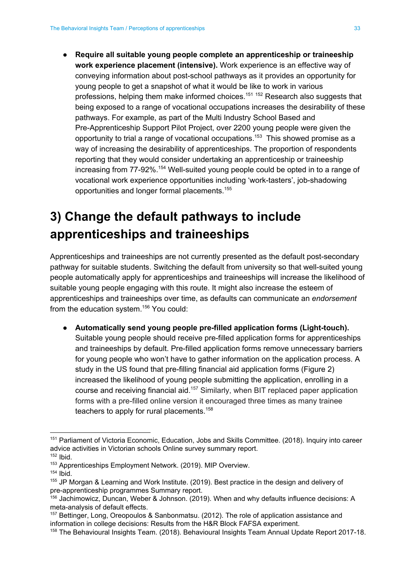● **Require all suitable young people complete an apprenticeship or traineeship work experience placement (intensive).** Work experience is an effective way of conveying information about post-school pathways as it provides an opportunity for young people to get a snapshot of what it would be like to work in various professions, helping them make informed choices.<sup>151 152</sup> Research also suggests that being exposed to a range of vocational occupations increases the desirability of these pathways. For example, as part of the Multi Industry School Based and Pre-Apprenticeship Support Pilot Project, over 2200 young people were given the opportunity to trial a range of vocational occupations.<sup>153</sup> This showed promise as a way of increasing the desirability of apprenticeships. The proportion of respondents reporting that they would consider undertaking an apprenticeship or traineeship increasing from 77-92%.<sup>154</sup> Well-suited young people could be opted in to a range of vocational work experience opportunities including 'work-tasters', job-shadowing opportunities and longer formal placements. 155

## <span id="page-33-0"></span>**3) Change the default pathways to include apprenticeships and traineeships**

Apprenticeships and traineeships are not currently presented as the default post-secondary pathway for suitable students. Switching the default from university so that well-suited young people automatically apply for apprenticeships and traineeships will increase the likelihood of suitable young people engaging with this route. It might also increase the esteem of apprenticeships and traineeships over time, as defaults can communicate an *endorsement* from the education system. $156$  You could:

**● Automatically send young people pre-filled application forms (Light-touch).** Suitable young people should receive pre-filled application forms for apprenticeships and traineeships by default. Pre-filled application forms remove unnecessary barriers for young people who won't have to gather information on the application process. A study in the US found that pre-filling financial aid application forms (Figure 2) increased the likelihood of young people submitting the application, enrolling in a course and receiving financial aid.<sup>157</sup> Similarly, when BIT replaced paper application forms with a pre-filled online version it encouraged three times as many trainee teachers to apply for rural placements.<sup>158</sup>

<sup>151</sup> Parliament of Victoria Economic, Education, Jobs and Skills Committee. (2018). Inquiry into career advice activities in Victorian schools Online survey summary report.

<sup>152</sup> Ibid.

<sup>153</sup> Apprenticeships Employment Network. (2019). MIP Overview.

 $154$  Ibid.

<sup>155</sup> JP Morgan & Learning and Work Institute. (2019). Best practice in the design and delivery of pre-apprenticeship programmes Summary report.

<sup>156</sup> Jachimowicz, Duncan, Weber & Johnson. (2019). When and why defaults influence decisions: A meta-analysis of default effects.

<sup>157</sup> Bettinger, Long, Oreopoulos & Sanbonmatsu. (2012). The role of application assistance and information in college decisions: Results from the H&R Block FAFSA experiment.

<sup>158</sup> The Behavioural Insights Team. (2018). Behavioural Insights Team Annual Update Report 2017-18.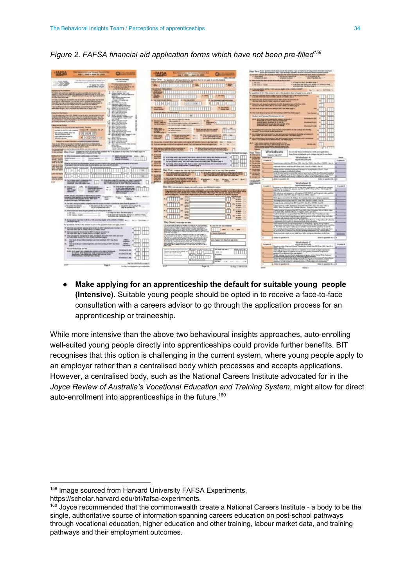*Figure 2. FAFSA financial aid application forms which have not been pre-filled 159*

- 16 **UNION SAINT** SOUND DEALERS ESTATE IN WARRANTY **HIIMHII** Kana ,,,,,,,,,,,,,,, ,,,,,,,,,,,,,,,,,,,,,,,,,,,,,,,  $\frac{1}{2}$   $\frac{1}{2}$   $\frac{1}{2}$   $\frac{1}{2}$   $\frac{1}{2}$   $\frac{1}{2}$   $\frac{1}{2}$   $\frac{1}{2}$   $\frac{1}{2}$   $\frac{1}{2}$   $\frac{1}{2}$   $\frac{1}{2}$   $\frac{1}{2}$   $\frac{1}{2}$   $\frac{1}{2}$   $\frac{1}{2}$   $\frac{1}{2}$   $\frac{1}{2}$   $\frac{1}{2}$   $\frac{1}{2}$   $\frac{1}{2}$   $\frac{1}{2}$  **Change Street** <sup>12</sup> (State Science) **The Property of** ALSO BROCKER OF SPARING **PARTIES** Wright shought **CONTRACTOR** i Multu 資格局 **ORDER OF LIBR** STILL BREEKFAREERS TIDAGANIN (INTERNATIONAL SEBA **HOME FOR FIRE STATISTICS IN THE REPORT OF A PROPERTY OF A PROPERTY OF A PROPERTY OF A PROPERTY OF A PROPERTY OF A PROPERTY OF A PROPERTY OF A PROPERTY OF A PROPERTY OF A PROPERTY OF A PROPERTY OF A PROPERTY OF A PROPERTY OF A PROPERTY**  $\Box$ **BELO BERE CO.** making a 14th Street E. against paint of the god **THE REAL PROPERTY** Alap Age `H A My per  $rac{1}{2}$ **Side** 1. A rate addressed that the chart art.mtpmd **COMPANY**  $\overline{\text{III}}$  m

**● Make applying for an apprenticeship the default for suitable young people (Intensive).** Suitable young people should be opted in to receive a face-to-face consultation with a careers advisor to go through the application process for an apprenticeship or traineeship.

While more intensive than the above two behavioural insights approaches, auto-enrolling well-suited young people directly into apprenticeships could provide further benefits. BIT recognises that this option is challenging in the current system, where young people apply to an employer rather than a centralised body which processes and accepts applications. However, a centralised body, such as the National Careers Institute advocated for in the *Joyce Review of Australia's Vocational Education and Training System*, might allow for direct auto-enrollment into apprenticeships in the future.<sup>160</sup>

<sup>159</sup> Image sourced from Harvard University FAFSA Experiments,

<https://scholar.harvard.edu/btl/fafsa-experiments>.

<sup>&</sup>lt;sup>160</sup> Joyce recommended that the commonwealth create a National Careers Institute - a body to be the single, authoritative source of information spanning careers education on post-school pathways through vocational education, higher education and other training, labour market data, and training pathways and their employment outcomes.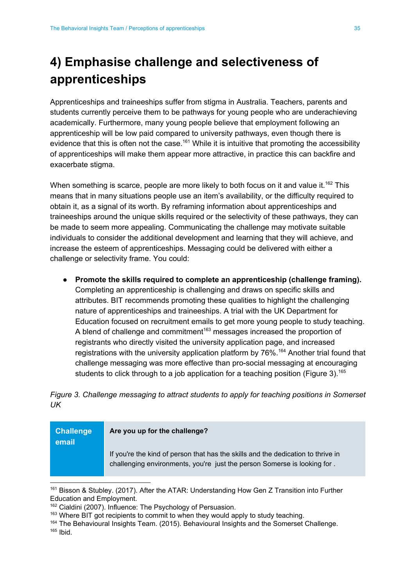## <span id="page-35-0"></span>**4) Emphasise challenge and selectiveness of apprenticeships**

Apprenticeships and traineeships suffer from stigma in Australia. Teachers, parents and students currently perceive them to be pathways for young people who are underachieving academically. Furthermore, many young people believe that employment following an apprenticeship will be low paid compared to university pathways, even though there is evidence that this is often not the case.<sup>161</sup> While it is intuitive that promoting the accessibility of apprenticeships will make them appear more attractive, in practice this can backfire and exacerbate stigma.

When something is scarce, people are more likely to both focus on it and value it.<sup>162</sup> This means that in many situations people use an item's availability, or the difficulty required to obtain it, as a signal of its worth. By reframing information about apprenticeships and traineeships around the unique skills required or the selectivity of these pathways, they can be made to seem more appealing. Communicating the challenge may motivate suitable individuals to consider the additional development and learning that they will achieve, and increase the esteem of apprenticeships. Messaging could be delivered with either a challenge or selectivity frame. You could:

● **Promote the skills required to complete an apprenticeship (challenge framing).** Completing an apprenticeship is challenging and draws on specific skills and attributes. BIT recommends promoting these qualities to highlight the challenging nature of apprenticeships and traineeships. A trial with the UK Department for Education focused on recruitment emails to get more young people to study teaching. A blend of challenge and commitment<sup>163</sup> messages increased the proportion of registrants who directly visited the university application page, and increased registrations with the university application platform by 76%.<sup>164</sup> Another trial found that challenge messaging was more effective than pro-social messaging at encouraging students to click through to a job application for a teaching position (Figure 3).<sup>165</sup>

*Figure 3. Challenge messaging to attract students to apply for teaching positions in Somerset UK*

| <b>Challenge</b><br>email | Are you up for the challenge?                                                                                                                                |
|---------------------------|--------------------------------------------------------------------------------------------------------------------------------------------------------------|
|                           | If you're the kind of person that has the skills and the dedication to thrive in<br>challenging environments, you're just the person Somerse is looking for. |

<sup>161</sup> Bisson & Stubley. (2017). After the ATAR: Understanding How Gen Z Transition into Further Education and Employment.

<sup>&</sup>lt;sup>162</sup> Cialdini (2007). Influence: The Psychology of Persuasion.

 $163$  Where BIT got recipients to commit to when they would apply to study teaching.

<sup>164</sup> The Behavioural Insights Team. (2015). Behavioural Insights and the Somerset Challenge.

<sup>165</sup> Ibid.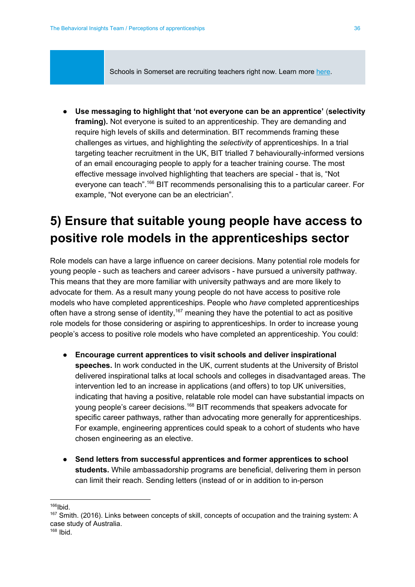Schools in Somerset are recruiting teachers right now. Learn more here.

● **Use messaging to highlight that 'not everyone can be an apprentice'** (**selectivity framing).** Not everyone is suited to an apprenticeship. They are demanding and require high levels of skills and determination. BIT recommends framing these challenges as virtues, and highlighting the *selectivity* of apprenticeships. In a trial targeting teacher recruitment in the UK, BIT trialled 7 behaviourally-informed versions of an email encouraging people to apply for a teacher training course. The most effective message involved highlighting that teachers are special - that is, "Not everyone can teach".<sup>166</sup> BIT recommends personalising this to a particular career. For example, "Not everyone can be an electrician".

### <span id="page-36-0"></span>**5) Ensure that suitable young people have access to positive role models in the apprenticeships sector**

Role models can have a large influence on career decisions. Many potential role models for young people - such as teachers and career advisors - have pursued a university pathway. This means that they are more familiar with university pathways and are more likely to advocate for them. As a result many young people do not have access to positive role models who have completed apprenticeships. People who *have* completed apprenticeships often have a strong sense of identity,<sup>167</sup> meaning they have the potential to act as positive role models for those considering or aspiring to apprenticeships. In order to increase young people's access to positive role models who have completed an apprenticeship. You could:

- **Encourage current apprentices to visit schools and deliver inspirational speeches.** In work conducted in the UK, current students at the University of Bristol delivered inspirational talks at local schools and colleges in disadvantaged areas. The intervention led to an increase in applications (and offers) to top UK universities, indicating that having a positive, relatable role model can have substantial impacts on young people's career decisions.<sup>168</sup> BIT recommends that speakers advocate for specific career pathways, rather than advocating more generally for apprenticeships. For example, engineering apprentices could speak to a cohort of students who have chosen engineering as an elective.
- **Send letters from successful apprentices and former apprentices to school students.** While ambassadorship programs are beneficial, delivering them in person can limit their reach. Sending letters (instead of or in addition to in-person

 $166$ Ibid.

<sup>167</sup> Smith. (2016). Links between concepts of skill, concepts of occupation and the training system: A case study of Australia.

<sup>168</sup> Ibid.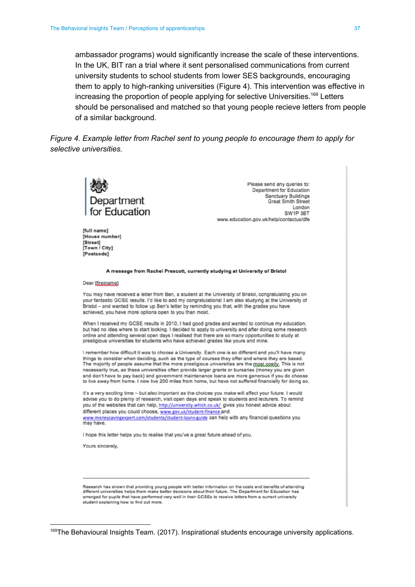ambassador programs) would significantly increase the scale of these interventions. In the UK, BIT ran a trial where it sent personalised communications from current university students to school students from lower SES backgrounds, encouraging them to apply to high-ranking universities (Figure 4). This intervention was effective in increasing the proportion of people applying for selective Universities.<sup>169</sup> Letters should be personalised and matched so that young people recieve letters from people of a similar background.

*Figure 4. Example letter from Rachel sent to young people to encourage them to apply for selective universities.*



Please send any queries to: Department for Education **Sanctuary Buildings Great Smith Street** London SW1P 3BT www.education.gov.uk/help/contactus/dfe

#### Dear [firstname]

**Ifull namel** [House number] [Street] [Town / City] [Postcode]

You may have received a letter from Ben, a student at the University of Bristol, congratulating you on your fantastic GCSE results. I'd like to add my congratulations! I am also studying at the University of Bristol - and wanted to follow up Ben's letter by reminding you that, with the grades you have achieved, you have more options open to you than most.

A message from Rachel Prescott, currently studying at University of Bristol

When I received my GCSE results in 2010, I had good grades and wanted to continue my education, but had no idea where to start looking. I decided to apply to university and after doing some research online and attending several open days I realised that there are so many opportunities to study at prestigious universities for students who have achieved grades like yours and mine.

I remember how difficult it was to choose a University. Each one is so different and you'll have many things to consider when deciding, such as the type of courses they offer and where they are based. The majority of people assume that the more prestigious universities are the most costly. This is not necessarily true, as these universities often provide larger grants or bursaries (money you are given and don't have to pay back) and government maintenance loans are more generous if you do choose to live away from home. I now live 200 miles from home, but have not suffered financially for doing so.

It's a very exciting time - but also important as the choices you make will affect your future. I would advise you to do plenty of research, visit open days and speak to students and lecturers. To remind you of the websites that can help, http://university.which.co.uk/ gives you honest advice about different places you could choose, www.gov.uk/student-finance and www.moneysavingexpert.com/students/student-loans-guide can help with any financial questions you may have.

I hope this letter helps you to realise that you've a great future ahead of you.

Yours sincerely,

Research has shown that providing young people with better information on the costs and benefits of attending<br>different universities helps them make better decisions about their future. The Department for Education has arranged for pupils that have performed very well in their GCSEs to receive letters from a current university student explaining how to find out more.

<sup>169</sup>The Behavioural Insights Team. (2017). Inspirational students encourage university applications.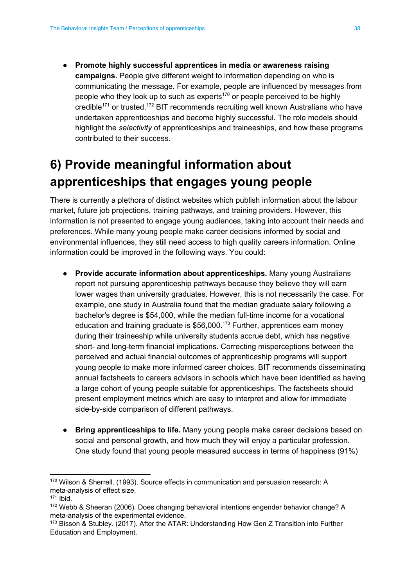● **Promote highly successful apprentices in media or awareness raising campaigns.** People give different weight to information depending on who is communicating the message. For example, people are influenced by messages from people who they look up to such as experts<sup>170</sup> or people perceived to be highly credible<sup>171</sup> or trusted.<sup>172</sup> BIT recommends recruiting well known Australians who have undertaken apprenticeships and become highly successful. The role models should highlight the *selectivity* of apprenticeships and traineeships, and how these programs contributed to their success.

### <span id="page-38-0"></span>**6) Provide meaningful information about apprenticeships that engages young people**

There is currently a plethora of distinct websites which publish information about the labour market, future job projections, training pathways, and training providers. However, this information is not presented to engage young audiences, taking into account their needs and preferences. While many young people make career decisions informed by social and environmental influences, they still need access to high quality careers information. Online information could be improved in the following ways. You could:

- **● Provide accurate information about apprenticeships.** Many young Australians report not pursuing apprenticeship pathways because they believe they will earn lower wages than university graduates. However, this is not necessarily the case. For example, one study in Australia found that the median graduate salary following a bachelor's degree is \$54,000, while the median full-time income for a vocational education and training graduate is \$56,000.<sup>173</sup> Further, apprentices earn money during their traineeship while university students accrue debt, which has negative short- and long-term financial implications. Correcting misperceptions between the perceived and actual financial outcomes of apprenticeship programs will support young people to make more informed career choices. BIT recommends disseminating annual factsheets to careers advisors in schools which have been identified as having a large cohort of young people suitable for apprenticeships. The factsheets should present employment metrics which are easy to interpret and allow for immediate side-by-side comparison of different pathways.
- **● Bring apprenticeships to life.** Many young people make career decisions based on social and personal growth, and how much they will enjoy a particular profession. One study found that young people measured success in terms of happiness (91%)

<sup>170</sup> Wilson & Sherrell. (1993). Source effects in communication and persuasion research: A meta-analysis of effect size.

 $171$  Ibid.

<sup>172</sup> Webb & Sheeran (2006). Does changing behavioral intentions engender behavior change? A meta-analysis of the experimental evidence.

<sup>173</sup> Bisson & Stubley. (2017). After the ATAR: Understanding How Gen Z Transition into Further Education and Employment.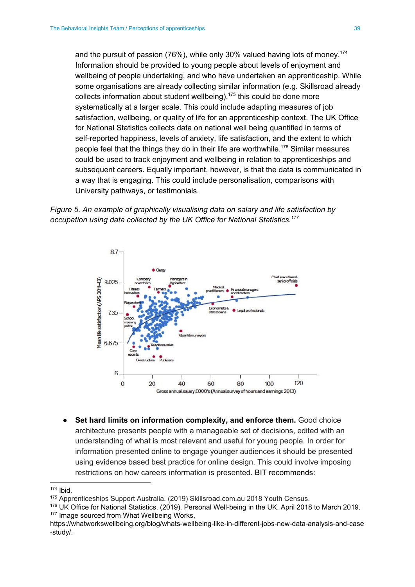and the pursuit of passion (76%), while only 30% valued having lots of money. 174 Information should be provided to young people about levels of enjoyment and wellbeing of people undertaking, and who have undertaken an apprenticeship. While some organisations are already collecting similar information (e.g. Skillsroad already collects information about student wellbeing), $175$  this could be done more systematically at a larger scale. This could include adapting measures of job satisfaction, wellbeing, or quality of life for an apprenticeship context. The UK Office for National Statistics collects data on national well being quantified in terms of self-reported happiness, levels of anxiety, life satisfaction, and the extent to which people feel that the things they do in their life are worthwhile.<sup>176</sup> Similar measures could be used to track enjoyment and wellbeing in relation to apprenticeships and subsequent careers. Equally important, however, is that the data is communicated in a way that is engaging. This could include personalisation, comparisons with University pathways, or testimonials.





**● Set hard limits on information complexity, and enforce them.** Good choice architecture presents people with a manageable set of decisions, edited with an understanding of what is most relevant and useful for young people. In order for information presented online to engage younger audiences it should be presented using evidence based best practice for online design. This could involve imposing restrictions on how careers information is presented. BIT recommends:

<sup>174</sup> Ibid.

<sup>175</sup> Apprenticeships Support Australia. (2019) Skillsroad.com.au 2018 Youth Census.

<sup>176</sup> UK Office for National Statistics. (2019). Personal Well-being in the UK. April 2018 to March 2019. 177 Image sourced from What Wellbeing Works,

[https://whatworkswellbeing.org/blog/whats-wellbeing-like-in-different-jobs-new-data-analysis-and-case](https://whatworkswellbeing.org/blog/whats-wellbeing-like-in-different-jobs-new-data-analysis-and-case-study/) [-study/](https://whatworkswellbeing.org/blog/whats-wellbeing-like-in-different-jobs-new-data-analysis-and-case-study/).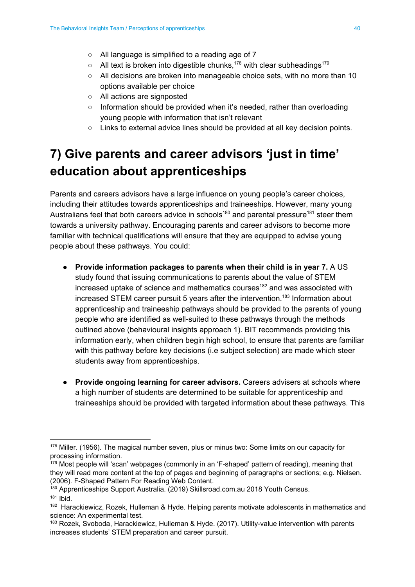- **○** All language is simplified to a reading age of 7
- $\circ$  All text is broken into digestible chunks,<sup>178</sup> with clear subheadings<sup>179</sup>
- **○** All decisions are broken into manageable choice sets, with no more than 10 options available per choice
- **○** All actions are signposted
- **○** Information should be provided when it's needed, rather than overloading young people with information that isn't relevant
- Links to external advice lines should be provided at all key decision points.

## <span id="page-40-0"></span>**7) Give parents and career advisors 'just in time' education about apprenticeships**

Parents and careers advisors have a large influence on young people's career choices, including their attitudes towards apprenticeships and traineeships. However, many young Australians feel that both careers advice in schools<sup>180</sup> and parental pressure<sup>181</sup> steer them towards a university pathway. Encouraging parents and career advisors to become more familiar with technical qualifications will ensure that they are equipped to advise young people about these pathways. You could:

- **Provide information packages to parents when their child is in year 7.** A US study found that issuing communications to parents about the value of STEM increased uptake of science and mathematics courses<sup>182</sup> and was associated with increased STEM career pursuit 5 years after the intervention.<sup>183</sup> Information about apprenticeship and traineeship pathways should be provided to the parents of young people who are identified as well-suited to these pathways through the methods outlined above (behavioural insights approach 1). BIT recommends providing this information early, when children begin high school, to ensure that parents are familiar with this pathway before key decisions (i.e subject selection) are made which steer students away from apprenticeships.
- **Provide ongoing learning for career advisors.** Careers advisers at schools where a high number of students are determined to be suitable for apprenticeship and traineeships should be provided with targeted information about these pathways. This

<sup>180</sup> Apprenticeships Support Australia. (2019) Skillsroad.com.au 2018 Youth Census.

<sup>&</sup>lt;sup>178</sup> Miller. (1956). The magical number seven, plus or minus two: Some limits on our capacity for processing information.

<sup>&</sup>lt;sup>179</sup> Most people will 'scan' webpages (commonly in an 'F-shaped' pattern of reading), meaning that they will read more content at the top of pages and beginning of paragraphs or sections; e.g. Nielsen. (2006). F-Shaped Pattern For Reading Web Content.

 $181$  Ibid.

<sup>&</sup>lt;sup>182</sup> Harackiewicz, Rozek, Hulleman & Hyde. Helping parents motivate adolescents in mathematics and science: An experimental test.

<sup>&</sup>lt;sup>183</sup> Rozek, Svoboda, Harackiewicz, Hulleman & Hyde. (2017). Utility-value intervention with parents increases students' STEM preparation and career pursuit.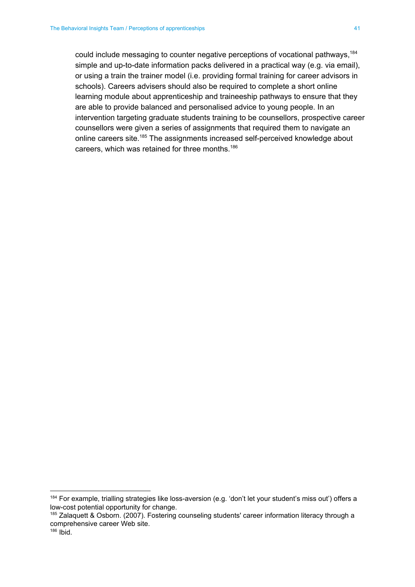could include messaging to counter negative perceptions of vocational pathways, 184 simple and up-to-date information packs delivered in a practical way (e.g. via email), or using a train the trainer model (i.e. providing formal training for career advisors in schools). Careers advisers should also be required to complete a short online learning module about apprenticeship and traineeship pathways to ensure that they are able to provide balanced and personalised advice to young people. In an intervention targeting graduate students training to be counsellors, prospective career counsellors were given a series of assignments that required them to navigate an online careers site.<sup>185</sup> The assignments increased self-perceived knowledge about careers, which was retained for three months. 186

<sup>184</sup> For example, trialling strategies like loss-aversion (e.g. 'don't let your student's miss out') offers a low-cost potential opportunity for change.

<sup>185</sup> Zalaquett & Osborn. (2007). Fostering counseling students' career information literacy through a comprehensive career Web site.

 $186$  Ibid.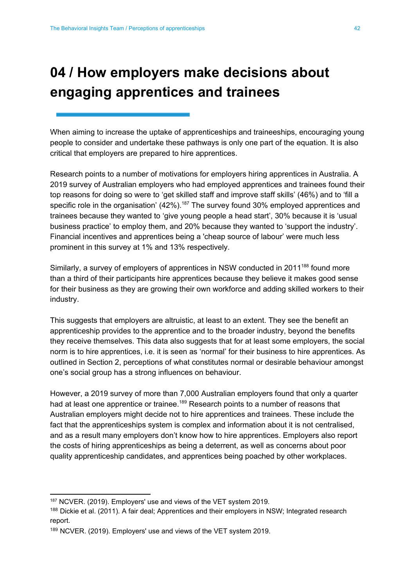## <span id="page-42-0"></span>**04 / How employers make decisions about engaging apprentices and trainees**

When aiming to increase the uptake of apprenticeships and traineeships, encouraging young people to consider and undertake these pathways is only one part of the equation. It is also critical that employers are prepared to hire apprentices.

Research points to a number of motivations for employers hiring apprentices in Australia. A 2019 survey of Australian employers who had employed apprentices and trainees found their top reasons for doing so were to 'get skilled staff and improve staff skills' (46%) and to 'fill a specific role in the organisation' (42%).<sup>187</sup> The survey found 30% employed apprentices and trainees because they wanted to 'give young people a head start', 30% because it is 'usual business practice' to employ them, and 20% because they wanted to 'support the industry'. Financial incentives and apprentices being a 'cheap source of labour' were much less prominent in this survey at 1% and 13% respectively.

Similarly, a survey of employers of apprentices in NSW conducted in 2011<sup>188</sup> found more than a third of their participants hire apprentices because they believe it makes good sense for their business as they are growing their own workforce and adding skilled workers to their industry.

This suggests that employers are altruistic, at least to an extent. They see the benefit an apprenticeship provides to the apprentice and to the broader industry, beyond the benefits they receive themselves. This data also suggests that for at least some employers, the social norm is to hire apprentices, i.e. it is seen as 'normal' for their business to hire apprentices. As outlined in Section 2, perceptions of what constitutes normal or desirable behaviour amongst one's social group has a strong influences on behaviour.

However, a 2019 survey of more than 7,000 Australian employers found that only a quarter had at least one apprentice or trainee.<sup>189</sup> Research points to a number of reasons that Australian employers might decide not to hire apprentices and trainees. These include the fact that the apprenticeships system is complex and information about it is not centralised, and as a result many employers don't know how to hire apprentices. Employers also report the costs of hiring apprenticeships as being a deterrent, as well as concerns about poor quality apprenticeship candidates, and apprentices being poached by other workplaces.

<sup>187</sup> NCVER. (2019). Employers' use and views of the VET system 2019.

<sup>&</sup>lt;sup>188</sup> Dickie et al. (2011). A fair deal; Apprentices and their employers in NSW; Integrated research report.

<sup>189</sup> NCVER. (2019). Employers' use and views of the VET system 2019.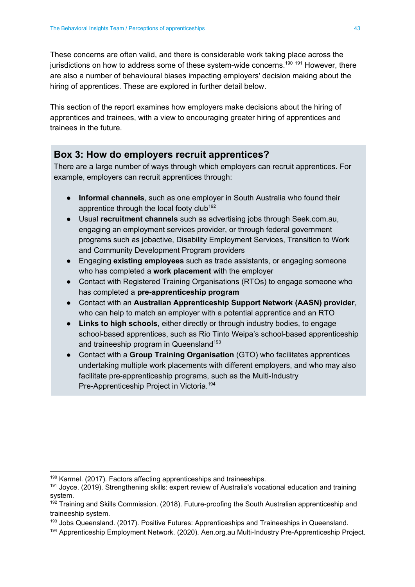These concerns are often valid, and there is considerable work taking place across the jurisdictions on how to address some of these system-wide concerns.<sup>190 191</sup> However, there are also a number of behavioural biases impacting employers' decision making about the hiring of apprentices. These are explored in further detail below.

This section of the report examines how employers make decisions about the hiring of apprentices and trainees, with a view to encouraging greater hiring of apprentices and trainees in the future.

#### **Box 3: How do employers recruit apprentices?**

There are a large number of ways through which employers can recruit apprentices. For example, employers can recruit apprentices through:

- **Informal channels**, such as one employer in South Australia who found their apprentice through the local footy club<sup>192</sup>
- Usual **recruitment channels** such as advertising jobs through Seek.com.au, engaging an employment services provider, or through federal government programs such as jobactive, Disability Employment Services, Transition to Work and Community Development Program providers
- Engaging **existing employees** such as trade assistants, or engaging someone who has completed a **work placement** with the employer
- Contact with Registered Training Organisations (RTOs) to engage someone who has completed a **pre-apprenticeship program**
- Contact with an **Australian Apprenticeship Support Network (AASN) provider**, who can help to match an employer with a potential apprentice and an RTO
- **Links to high schools**, either directly or through industry bodies, to engage school-based apprentices, such as Rio Tinto Weipa's school-based apprenticeship and traineeship program in Queensland<sup>193</sup>
- Contact with a **Group Training Organisation** (GTO) who facilitates apprentices undertaking multiple work placements with different employers, and who may also facilitate pre-apprenticeship programs, such as the Multi-Industry Pre-Apprenticeship Project in Victoria. 194

<sup>&</sup>lt;sup>190</sup> Karmel. (2017). Factors affecting apprenticeships and traineeships.

<sup>&</sup>lt;sup>191</sup> Joyce. (2019). Strengthening skills: expert review of Australia's vocational education and training system.

<sup>192</sup> Training and Skills Commission. (2018). Future-proofing the South Australian apprenticeship and traineeship system.

<sup>&</sup>lt;sup>193</sup> Jobs Queensland. (2017). Positive Futures: Apprenticeships and Traineeships in Queensland.

<sup>194</sup> Apprenticeship Employment Network. (2020). Aen.org.au Multi-Industry Pre-Apprenticeship Project.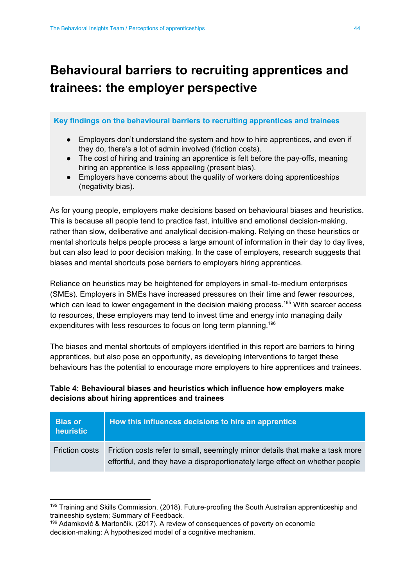## <span id="page-44-0"></span>**Behavioural barriers to recruiting apprentices and trainees: the employer perspective**

#### **Key findings on the behavioural barriers to recruiting apprentices and trainees**

- Employers don't understand the system and how to hire apprentices, and even if they do, there's a lot of admin involved (friction costs).
- The cost of hiring and training an apprentice is felt before the pay-offs, meaning hiring an apprentice is less appealing (present bias).
- Employers have concerns about the quality of workers doing apprenticeships (negativity bias).

As for young people, employers make decisions based on behavioural biases and heuristics. This is because all people tend to practice fast, intuitive and emotional decision-making, rather than slow, deliberative and analytical decision-making. Relying on these heuristics or mental shortcuts helps people process a large amount of information in their day to day lives, but can also lead to poor decision making. In the case of employers, research suggests that biases and mental shortcuts pose barriers to employers hiring apprentices.

Reliance on heuristics may be heightened for employers in small-to-medium enterprises (SMEs). Employers in SMEs have increased pressures on their time and fewer resources, which can lead to lower engagement in the decision making process.<sup>195</sup> With scarcer access to resources, these employers may tend to invest time and energy into managing daily expenditures with less resources to focus on long term planning.<sup>196</sup>

The biases and mental shortcuts of employers identified in this report are barriers to hiring apprentices, but also pose an opportunity, as developing interventions to target these behaviours has the potential to encourage more employers to hire apprentices and trainees.

#### **Table 4: Behavioural biases and heuristics which influence how employers make decisions about hiring apprentices and trainees**

| <b>Bias or</b><br>heuristic | How this influences decisions to hire an apprentice                                                                                                          |
|-----------------------------|--------------------------------------------------------------------------------------------------------------------------------------------------------------|
| <b>Friction costs</b>       | Friction costs refer to small, seemingly minor details that make a task more<br>effortful, and they have a disproportionately large effect on whether people |

<sup>&</sup>lt;sup>195</sup> Training and Skills Commission. (2018). Future-proofing the South Australian apprenticeship and traineeship system; Summary of Feedback.

<sup>196</sup> Adamkovič & Martončik. (2017). A review of consequences of poverty on economic decision-making: A hypothesized model of a cognitive mechanism.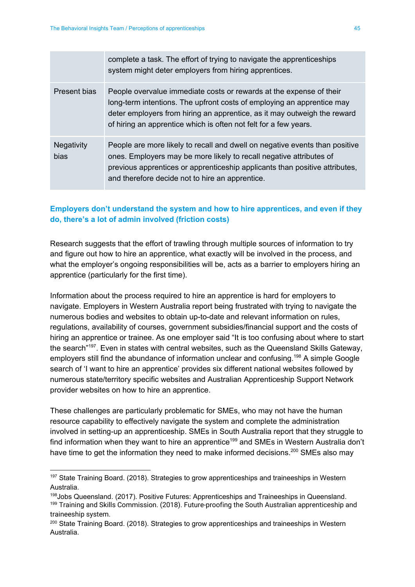|                           | complete a task. The effort of trying to navigate the apprenticeships<br>system might deter employers from hiring apprentices.                                                                                                                                                                |
|---------------------------|-----------------------------------------------------------------------------------------------------------------------------------------------------------------------------------------------------------------------------------------------------------------------------------------------|
| Present bias              | People overvalue immediate costs or rewards at the expense of their<br>long-term intentions. The upfront costs of employing an apprentice may<br>deter employers from hiring an apprentice, as it may outweigh the reward<br>of hiring an apprentice which is often not felt for a few years. |
| <b>Negativity</b><br>bias | People are more likely to recall and dwell on negative events than positive<br>ones. Employers may be more likely to recall negative attributes of<br>previous apprentices or apprenticeship applicants than positive attributes,<br>and therefore decide not to hire an apprentice.          |

#### **Employers don't understand the system and how to hire apprentices, and even if they do, there's a lot of admin involved (friction costs)**

Research suggests that the effort of trawling through multiple sources of information to try and figure out how to hire an apprentice, what exactly will be involved in the process, and what the employer's ongoing responsibilities will be, acts as a barrier to employers hiring an apprentice (particularly for the first time).

Information about the process required to hire an apprentice is hard for employers to navigate. Employers in Western Australia report being frustrated with trying to navigate the numerous bodies and websites to obtain up-to-date and relevant information on rules, regulations, availability of courses, government subsidies/financial support and the costs of hiring an apprentice or trainee. As one employer said "It is too confusing about where to start the search"<sup>197</sup>. Even in states with central websites, such as the Queensland Skills Gateway, employers still find the abundance of information unclear and confusing.<sup>198</sup> A simple Google search of 'I want to hire an apprentice' provides six different national websites followed by numerous state/territory specific websites and Australian Apprenticeship Support Network provider websites on how to hire an apprentice.

These challenges are particularly problematic for SMEs, who may not have the human resource capability to effectively navigate the system and complete the administration involved in setting-up an apprenticeship. SMEs in South Australia report that they struggle to find information when they want to hire an apprentice<sup>199</sup> and SMEs in Western Australia don't have time to get the information they need to make informed decisions.<sup>200</sup> SMEs also may

<sup>&</sup>lt;sup>197</sup> State Training Board. (2018). Strategies to grow apprenticeships and traineeships in Western Australia.

<sup>198</sup>Jobs Queensland. (2017). Positive Futures: Apprenticeships and Traineeships in Queensland. <sup>199</sup> Training and Skills Commission. (2018). Future-proofing the South Australian apprenticeship and traineeship system.

<sup>&</sup>lt;sup>200</sup> State Training Board. (2018). Strategies to grow apprenticeships and traineeships in Western Australia.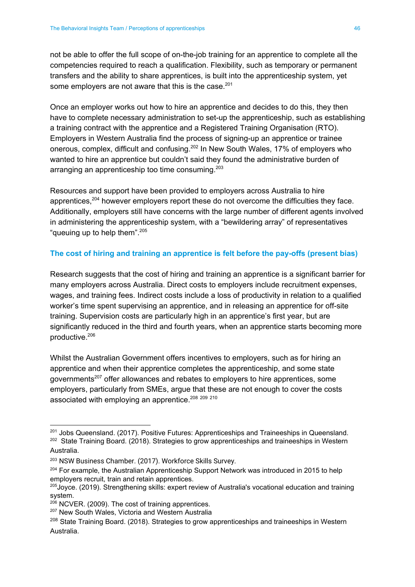not be able to offer the full scope of on-the-job training for an apprentice to complete all the competencies required to reach a qualification. Flexibility, such as temporary or permanent transfers and the ability to share apprentices, is built into the apprenticeship system, yet some employers are not aware that this is the case.<sup>201</sup>

Once an employer works out how to hire an apprentice and decides to do this, they then have to complete necessary administration to set-up the apprenticeship, such as establishing a training contract with the apprentice and a Registered Training Organisation (RTO). Employers in Western Australia find the process of signing-up an apprentice or trainee onerous, complex, difficult and confusing.<sup>202</sup> In New South Wales, 17% of employers who wanted to hire an apprentice but couldn't said they found the administrative burden of arranging an apprenticeship too time consuming.<sup>203</sup>

Resources and support have been provided to employers across Australia to hire apprentices, $204$  however employers report these do not overcome the difficulties they face. Additionally, employers still have concerns with the large number of different agents involved in administering the apprenticeship system, with a "bewildering array" of representatives "queuing up to help them".<sup>205</sup>

#### **The cost of hiring and training an apprentice is felt before the pay-offs (present bias)**

Research suggests that the cost of hiring and training an apprentice is a significant barrier for many employers across Australia. Direct costs to employers include recruitment expenses, wages, and training fees. Indirect costs include a loss of productivity in relation to a qualified worker's time spent supervising an apprentice, and in releasing an apprentice for off-site training. Supervision costs are particularly high in an apprentice's first year, but are significantly reduced in the third and fourth years, when an apprentice starts becoming more productive. 206

Whilst the Australian Government offers incentives to employers, such as for hiring an apprentice and when their apprentice completes the apprenticeship, and some state governments<sup>207</sup> offer allowances and rebates to employers to hire apprentices, some employers, particularly from SMEs, argue that these are not enough to cover the costs associated with employing an apprentice.<sup>208 209</sup> <sup>210</sup>

<sup>&</sup>lt;sup>201</sup> Jobs Queensland. (2017). Positive Futures: Apprenticeships and Traineeships in Queensland. <sup>202</sup> State Training Board. (2018). Strategies to grow apprenticeships and traineeships in Western Australia.

<sup>203</sup> NSW Business Chamber. (2017). Workforce Skills Survey.

 $204$  For example, the Australian Apprenticeship Support Network was introduced in 2015 to help employers recruit, train and retain apprentices.

<sup>&</sup>lt;sup>205</sup>Joyce. (2019). Strengthening skills: expert review of Australia's vocational education and training system.

<sup>206</sup> NCVER. (2009). The cost of training apprentices.

<sup>&</sup>lt;sup>207</sup> New South Wales, Victoria and Western Australia

<sup>&</sup>lt;sup>208</sup> State Training Board. (2018). Strategies to grow apprenticeships and traineeships in Western Australia.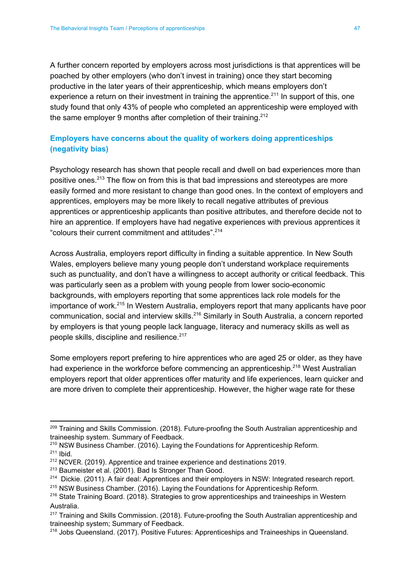A further concern reported by employers across most jurisdictions is that apprentices will be poached by other employers (who don't invest in training) once they start becoming productive in the later years of their apprenticeship, which means employers don't experience a return on their investment in training the apprentice.<sup>211</sup> In support of this, one study found that only 43% of people who completed an apprenticeship were employed with the same employer 9 months after completion of their training.<sup>212</sup>

#### **Employers have concerns about the quality of workers doing apprenticeships (negativity bias)**

Psychology research has shown that people recall and dwell on bad experiences more than positive ones.<sup>213</sup> The flow on from this is that bad impressions and stereotypes are more easily formed and more resistant to change than good ones. In the context of employers and apprentices, employers may be more likely to recall negative attributes of previous apprentices or apprenticeship applicants than positive attributes, and therefore decide not to hire an apprentice. If employers have had negative experiences with previous apprentices it "colours their current commitment and attitudes". 214

Across Australia, employers report difficulty in finding a suitable apprentice. In New South Wales, employers believe many young people don't understand workplace requirements such as punctuality, and don't have a willingness to accept authority or critical feedback. This was particularly seen as a problem with young people from lower socio-economic backgrounds, with employers reporting that some apprentices lack role models for the importance of work.<sup>215</sup> In Western Australia, employers report that many applicants have poor communication, social and interview skills.<sup>216</sup> Similarly in South Australia, a concern reported by employers is that young people lack language, literacy and numeracy skills as well as people skills, discipline and resilience. 217

Some employers report prefering to hire apprentices who are aged 25 or older, as they have had experience in the workforce before commencing an apprenticeship.<sup>218</sup> West Australian employers report that older apprentices offer maturity and life experiences, learn quicker and are more driven to complete their apprenticeship. However, the higher wage rate for these

<sup>&</sup>lt;sup>209</sup> Training and Skills Commission. (2018). Future-proofing the South Australian apprenticeship and traineeship system. Summary of Feedback.

<sup>210</sup> NSW Business Chamber. (2016). Laying the Foundations for Apprenticeship Reform.  $211$  Ibid.

 $212$  NCVER. (2019). Apprentice and trainee experience and destinations 2019.

<sup>213</sup> Baumeister et al. (2001). Bad Is Stronger Than Good.

<sup>&</sup>lt;sup>214</sup> Dickie. (2011). A fair deal: Apprentices and their employers in NSW: Integrated research report.

<sup>215</sup> NSW Business Chamber. (2016). Laying the Foundations for Apprenticeship Reform.

<sup>&</sup>lt;sup>216</sup> State Training Board. (2018). Strategies to grow apprenticeships and traineeships in Western Australia.

 $217$  Training and Skills Commission. (2018). Future-proofing the South Australian apprenticeship and traineeship system; Summary of Feedback.

<sup>&</sup>lt;sup>218</sup> Jobs Queensland. (2017). Positive Futures: Apprenticeships and Traineeships in Queensland.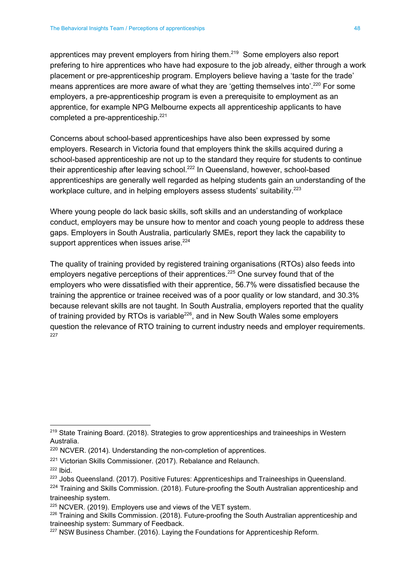apprentices may prevent employers from hiring them. $219$  Some employers also report prefering to hire apprentices who have had exposure to the job already, either through a work placement or pre-apprenticeship program. Employers believe having a 'taste for the trade' means apprentices are more aware of what they are 'getting themselves into'.<sup>220</sup> For some employers, a pre-apprenticeship program is even a prerequisite to employment as an apprentice, for example NPG Melbourne expects all apprenticeship applicants to have completed a pre-apprenticeship.<sup>221</sup>

Concerns about school-based apprenticeships have also been expressed by some employers. Research in Victoria found that employers think the skills acquired during a school-based apprenticeship are not up to the standard they require for students to continue their apprenticeship after leaving school.<sup>222</sup> In Queensland, however, school-based apprenticeships are generally well regarded as helping students gain an understanding of the workplace culture, and in helping employers assess students' suitability.<sup>223</sup>

Where young people do lack basic skills, soft skills and an understanding of workplace conduct, employers may be unsure how to mentor and coach young people to address these gaps. Employers in South Australia, particularly SMEs, report they lack the capability to support apprentices when issues arise.<sup>224</sup>

The quality of training provided by registered training organisations (RTOs) also feeds into employers negative perceptions of their apprentices.<sup>225</sup> One survey found that of the employers who were dissatisfied with their apprentice, 56.7% were dissatisfied because the training the apprentice or trainee received was of a poor quality or low standard, and 30.3% because relevant skills are not taught. In South Australia, employers reported that the quality of training provided by RTOs is variable<sup>226</sup>, and in New South Wales some employers question the relevance of RTO training to current industry needs and employer requirements. 227

<sup>&</sup>lt;sup>219</sup> State Training Board. (2018). Strategies to grow apprenticeships and traineeships in Western Australia.

<sup>&</sup>lt;sup>220</sup> NCVER. (2014). Understanding the non-completion of apprentices.

<sup>&</sup>lt;sup>221</sup> Victorian Skills Commissioner. (2017). Rebalance and Relaunch.

<sup>222</sup> Ibid.

<sup>&</sup>lt;sup>223</sup> Jobs Queensland. (2017). Positive Futures: Apprenticeships and Traineeships in Queensland.

<sup>&</sup>lt;sup>224</sup> Training and Skills Commission. (2018). Future-proofing the South Australian apprenticeship and traineeship system.

<sup>&</sup>lt;sup>225</sup> NCVER. (2019). Employers use and views of the VET system.

<sup>&</sup>lt;sup>226</sup> Training and Skills Commission. (2018). Future-proofing the South Australian apprenticeship and traineeship system: Summary of Feedback.

<sup>&</sup>lt;sup>227</sup> NSW Business Chamber. (2016). Laying the Foundations for Apprenticeship Reform.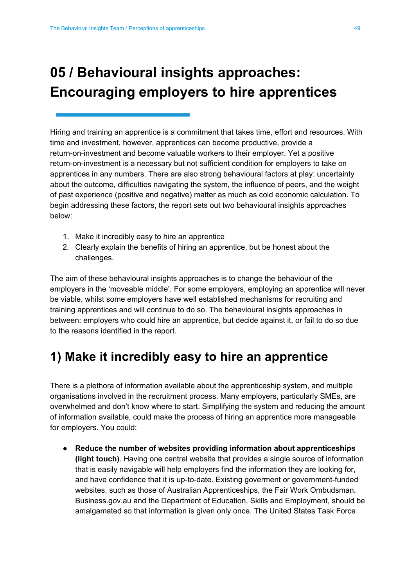## <span id="page-49-0"></span>**05 / Behavioural insights approaches: Encouraging employers to hire apprentices**

Hiring and training an apprentice is a commitment that takes time, effort and resources. With time and investment, however, apprentices can become productive, provide a return-on-investment and become valuable workers to their employer. Yet a positive return-on-investment is a necessary but not sufficient condition for employers to take on apprentices in any numbers. There are also strong behavioural factors at play: uncertainty about the outcome, difficulties navigating the system, the influence of peers, and the weight of past experience (positive and negative) matter as much as cold economic calculation. To begin addressing these factors, the report sets out two behavioural insights approaches below:

- 1. Make it incredibly easy to hire an apprentice
- 2. Clearly explain the benefits of hiring an apprentice, but be honest about the challenges.

The aim of these behavioural insights approaches is to change the behaviour of the employers in the 'moveable middle'. For some employers, employing an apprentice will never be viable, whilst some employers have well established mechanisms for recruiting and training apprentices and will continue to do so. The behavioural insights approaches in between: employers who could hire an apprentice, but decide against it, or fail to do so due to the reasons identified in the report.

### <span id="page-49-1"></span>**1) Make it incredibly easy to hire an apprentice**

There is a plethora of information available about the apprenticeship system, and multiple organisations involved in the recruitment process. Many employers, particularly SMEs, are overwhelmed and don't know where to start. Simplifying the system and reducing the amount of information available, could make the process of hiring an apprentice more manageable for employers. You could:

● **Reduce the number of websites providing information about apprenticeships (light touch)**. Having one central website that provides a single source of information that is easily navigable will help employers find the information they are looking for, and have confidence that it is up-to-date. Existing goverment or government-funded websites, such as those of Australian Apprenticeships, the Fair Work Ombudsman, Business.gov.au and the Department of Education, Skills and Employment, should be amalgamated so that information is given only once. The United States Task Force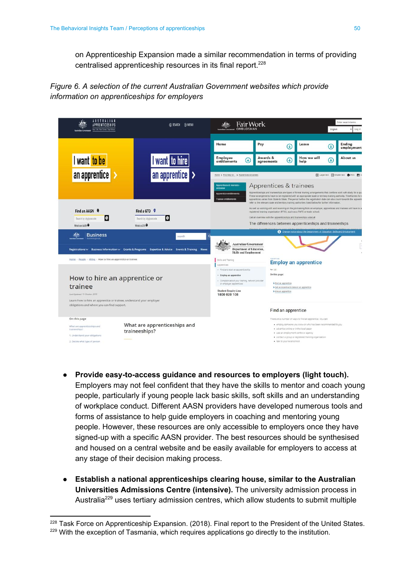on Apprenticeship Expansion made a similar recommendation in terms of providing centralised apprenticeship resources in its final report.<sup>228</sup>



| <i>I</i> U STRALIAN<br><b>APPRENTICESHIPS</b><br>fear Life, fear Career, Tear Fature.                                                                                             | <b>O MENU</b><br>@ SEARCH                                                                                    | Fair Work<br><b>OMBUDSMAN</b>                                                                                                                                                                                                                                                                                                    |                                                                                                                                                                                                                                                                                                                                                                                                                                                                                      |                                                                                                                           |                                                                        |                             | Enter search terms<br>English<br>Log in |  |
|-----------------------------------------------------------------------------------------------------------------------------------------------------------------------------------|--------------------------------------------------------------------------------------------------------------|----------------------------------------------------------------------------------------------------------------------------------------------------------------------------------------------------------------------------------------------------------------------------------------------------------------------------------|--------------------------------------------------------------------------------------------------------------------------------------------------------------------------------------------------------------------------------------------------------------------------------------------------------------------------------------------------------------------------------------------------------------------------------------------------------------------------------------|---------------------------------------------------------------------------------------------------------------------------|------------------------------------------------------------------------|-----------------------------|-----------------------------------------|--|
|                                                                                                                                                                                   |                                                                                                              | Home                                                                                                                                                                                                                                                                                                                             | Pay                                                                                                                                                                                                                                                                                                                                                                                                                                                                                  | O                                                                                                                         | Leave                                                                  | $\left( \downarrow \right)$ | Ending<br>employment                    |  |
| I want to be                                                                                                                                                                      | I want to hire                                                                                               | <b>Employee</b><br>$\mathbb{G}$<br>entitlements                                                                                                                                                                                                                                                                                  | Awards &<br>agreements                                                                                                                                                                                                                                                                                                                                                                                                                                                               | $\mathbf \omega$                                                                                                          | How we will<br>help                                                    | $\left( \cdot \right)$      | About us                                |  |
| an apprentice                                                                                                                                                                     | an apprentice                                                                                                | Home > Find help for > Apprentices & trainees<br>Apprentices & trainees<br>Apprentices & trainees                                                                                                                                                                                                                                |                                                                                                                                                                                                                                                                                                                                                                                                                                                                                      |                                                                                                                           |                                                                        |                             |                                         |  |
|                                                                                                                                                                                   |                                                                                                              | Apprentice entitlements<br><b>Trainee entitlements</b>                                                                                                                                                                                                                                                                           | overview<br>Apprenticeships and traineeships are types of formal training arrangements that combine work with study for a qui<br>These arrangements have to be registered with an appropriate state or territory training authority. Timeframes for r<br>apprentices varies from State to State. The period before the registration date can also count towards the apprenti<br>refer to the relevant state and territory training authorities listed below for further information. |                                                                                                                           |                                                                        |                             |                                         |  |
| Find an AASN<br>$\circ$<br>Search by city/postcode<br>What's an AASN <sup>O</sup>                                                                                                 | Find a GTO ©<br>١Q<br>Search by city/postcode<br>What's a GTO <sup>O</sup>                                   | As well as working with and receiving on the job training from an employer, apprentices and trainees will have to a<br>registered training organisation (RTO), such as a TAFE or trade school.<br>Get an overview with the apprenticeships and traineeships video a.<br>The differences between apprenticeships and traineeships |                                                                                                                                                                                                                                                                                                                                                                                                                                                                                      |                                                                                                                           |                                                                        |                             |                                         |  |
| <b>Business</b>                                                                                                                                                                   | search<br>Registrations v Business Information v Grants & Programs Expertise & Advice Events & Training News | <b>Australian Government</b><br><b>Department of Education,</b><br><b>Skills and Employment</b>                                                                                                                                                                                                                                  |                                                                                                                                                                                                                                                                                                                                                                                                                                                                                      |                                                                                                                           | Change notice about the Department of Education. Skills and Employment |                             |                                         |  |
| Home > People > Hiring > How to hire an apprentice or trainee                                                                                                                     |                                                                                                              | Skills and Training<br>Apprentices                                                                                                                                                                                                                                                                                               |                                                                                                                                                                                                                                                                                                                                                                                                                                                                                      | <b>Employ an apprentice</b>                                                                                               |                                                                        |                             |                                         |  |
| How to hire an apprentice or<br>trainee<br>Lest Updated: 15 October 2019                                                                                                          |                                                                                                              | - Find and start an apprenticeship<br>- Employ an apprentice<br>- Complain about your training, network provider<br>or employer: apprentices<br><b>Student Enquiry Line</b><br>1800 020 108                                                                                                                                      |                                                                                                                                                                                                                                                                                                                                                                                                                                                                                      | For: (23)<br>On this page:<br>> Find an apprentice<br>> Oet an incentive to take on an apprentice<br>> Hire an apprentice |                                                                        |                             |                                         |  |
| Learn how to hire an apprentice or trainee, understand your employer<br>obligations and where you can find support.                                                               |                                                                                                              |                                                                                                                                                                                                                                                                                                                                  | Find an apprentice                                                                                                                                                                                                                                                                                                                                                                                                                                                                   |                                                                                                                           |                                                                        |                             |                                         |  |
| On this page<br>What are apprenticeships and<br>What are apprenticeships and<br>traineeships?<br>traineeships?<br>1. Understand your obligations<br>2. Decide what type of person |                                                                                                              |                                                                                                                                                                                                                                                                                                                                  | There are a number of ways to find an apprentice. You can:<br>· employ someone you know or who has been recommended to you<br>· advertise online or in the local paper<br>· use an employment centre or agency<br>· contact a group or registered training organisation<br>· talk to your local school.                                                                                                                                                                              |                                                                                                                           |                                                                        |                             |                                         |  |

- **Provide easy-to-access guidance and resources to employers (light touch).** Employers may not feel confident that they have the skills to mentor and coach young people, particularly if young people lack basic skills, soft skills and an understanding of workplace conduct. Different AASN providers have developed numerous tools and forms of assistance to help guide employers in coaching and mentoring young people. However, these resources are only accessible to employers once they have signed-up with a specific AASN provider. The best resources should be synthesised and housed on a central website and be easily available for employers to access at any stage of their decision making process.
- **Establish a national apprenticeships clearing house, similar to the Australian Universities Admissions Centre (intensive).** The university admission process in Australia<sup>229</sup> uses tertiary admission centres, which allow students to submit multiple

<sup>&</sup>lt;sup>228</sup> Task Force on Apprenticeship Expansion. (2018). Final report to the President of the United States. <sup>229</sup> With the exception of Tasmania, which requires applications go directly to the institution.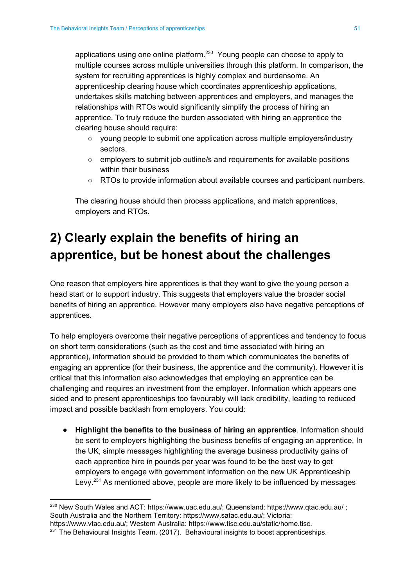applications using one online platform. $230$  Young people can choose to apply to multiple courses across multiple universities through this platform. In comparison, the system for recruiting apprentices is highly complex and burdensome. An apprenticeship clearing house which coordinates apprenticeship applications, undertakes skills matching between apprentices and employers, and manages the relationships with RTOs would significantly simplify the process of hiring an apprentice. To truly reduce the burden associated with hiring an apprentice the clearing house should require:

- young people to submit one application across multiple employers/industry sectors.
- employers to submit job outline/s and requirements for available positions within their business
- RTOs to provide information about available courses and participant numbers.

The clearing house should then process applications, and match apprentices, employers and RTOs.

## <span id="page-51-0"></span>**2) Clearly explain the benefits of hiring an apprentice, but be honest about the challenges**

One reason that employers hire apprentices is that they want to give the young person a head start or to support industry. This suggests that employers value the broader social benefits of hiring an apprentice. However many employers also have negative perceptions of apprentices.

To help employers overcome their negative perceptions of apprentices and tendency to focus on short term considerations (such as the cost and time associated with hiring an apprentice), information should be provided to them which communicates the benefits of engaging an apprentice (for their business, the apprentice and the community). However it is critical that this information also acknowledges that employing an apprentice can be challenging and requires an investment from the employer. Information which appears one sided and to present apprenticeships too favourably will lack credibility, leading to reduced impact and possible backlash from employers. You could:

● **Highlight the benefits to the business of hiring an apprentice**. Information should be sent to employers highlighting the business benefits of engaging an apprentice. In the UK, simple messages highlighting the average business productivity gains of each apprentice hire in pounds per year was found to be the best way to get employers to engage with government information on the new UK Apprenticeship Levy. $231$  As mentioned above, people are more likely to be influenced by messages

<sup>230</sup> New South Wales and ACT: [https://www.uac.edu.au/;](https://www.uac.edu.au/) Queensland: https://www.qtac.edu.au/ ; South Australia and the Northern Territory: [https://www.satac.edu.au/;](https://www.satac.edu.au/) Victoria:

<https://www.vtac.edu.au/>; Western Australia: [https://www.tisc.edu.au/static/home.tisc.](https://www.tisc.edu.au/static/home.tisc)

 $231$  The Behavioural Insights Team. (2017). Behavioural insights to boost apprenticeships.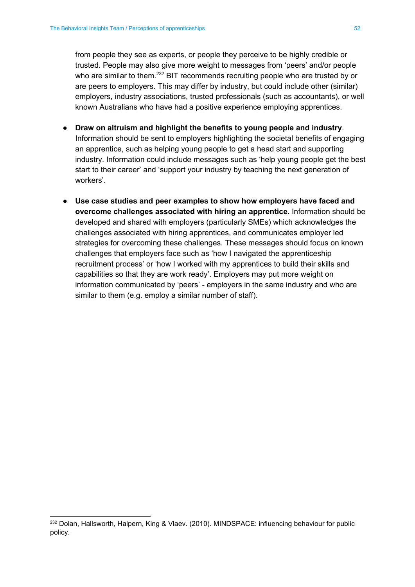from people they see as experts, or people they perceive to be highly credible or trusted. People may also give more weight to messages from 'peers' and/or people who are similar to them. $232$  BIT recommends recruiting people who are trusted by or are peers to employers. This may differ by industry, but could include other (similar) employers, industry associations, trusted professionals (such as accountants), or well known Australians who have had a positive experience employing apprentices.

- **Draw on altruism and highlight the benefits to young people and industry**. Information should be sent to employers highlighting the societal benefits of engaging an apprentice, such as helping young people to get a head start and supporting industry. Information could include messages such as 'help young people get the best start to their career' and 'support your industry by teaching the next generation of workers'.
- **Use case studies and peer examples to show how employers have faced and overcome challenges associated with hiring an apprentice.** Information should be developed and shared with employers (particularly SMEs) which acknowledges the challenges associated with hiring apprentices, and communicates employer led strategies for overcoming these challenges. These messages should focus on known challenges that employers face such as 'how I navigated the apprenticeship recruitment process' or 'how I worked with my apprentices to build their skills and capabilities so that they are work ready'. Employers may put more weight on information communicated by 'peers' - employers in the same industry and who are similar to them (e.g. employ a similar number of staff).

<sup>&</sup>lt;sup>232</sup> Dolan, Hallsworth, Halpern, King & Vlaev. (2010). MINDSPACE: influencing behaviour for public policy.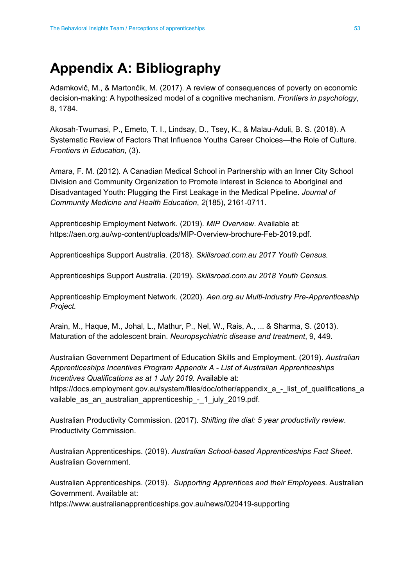## <span id="page-53-0"></span>**Appendix A: Bibliography**

Adamkovič, M., & Martončik, M. (2017). A review of consequences of poverty on economic decision-making: A hypothesized model of a cognitive mechanism. *Frontiers in psychology*, 8, 1784.

Akosah-Twumasi, P., Emeto, T. I., Lindsay, D., Tsey, K., & Malau-Aduli, B. S. (2018). A Systematic Review of Factors That Influence Youths Career Choices—the Role of Culture. *Frontiers in Education,* (3).

Amara, F. M. (2012). A Canadian Medical School in Partnership with an Inner City School Division and Community Organization to Promote Interest in Science to Aboriginal and Disadvantaged Youth: Plugging the First Leakage in the Medical Pipeline. *Journal of Community Medicine and Health Education*, *2*(185), 2161-0711.

Apprenticeship Employment Network. (2019). *MIP Overview*. Available at: https://aen.org.au/wp-content/uploads/MIP-Overview-brochure-Feb-2019.pdf.

Apprenticeships Support Australia. (2018). *Skillsroad.com.au 2017 Youth Census.*

Apprenticeships Support Australia. (2019). *Skillsroad.com.au 2018 Youth Census.*

Apprenticeship Employment Network. (2020). *Aen.org.au Multi-Industry Pre-Apprenticeship Project.*

Arain, M., Haque, M., Johal, L., Mathur, P., Nel, W., Rais, A., ... & Sharma, S. (2013). Maturation of the adolescent brain. *Neuropsychiatric disease and treatment*, 9, 449.

Australian Government Department of Education Skills and Employment. (2019). *Australian Apprenticeships Incentives Program Appendix A - List of Australian Apprenticeships Incentives Qualifications as at 1 July 2019.* Available at:

[https://docs.employment.gov.au/system/files/doc/other/appendix\\_a\\_-\\_list\\_of\\_qualifications\\_a](https://docs.employment.gov.au/system/files/doc/other/appendix_a_-_list_of_qualifications_available_as_an_australian_apprenticeship_-_1_july_2019.pdf) [vailable\\_as\\_an\\_australian\\_apprenticeship\\_-\\_1\\_july\\_2019.pdf.](https://docs.employment.gov.au/system/files/doc/other/appendix_a_-_list_of_qualifications_available_as_an_australian_apprenticeship_-_1_july_2019.pdf)

Australian Productivity Commission. (2017). *Shifting the dial: 5 year productivity review*. Productivity Commission.

Australian Apprenticeships. (2019). *Australian School-based Apprenticeships Fact Sheet*. Australian Government.

Australian Apprenticeships. (2019). *Supporting Apprentices and their Employees*. Australian Government. Available at:

<https://www.australianapprenticeships.gov.au/news/020419-supporting>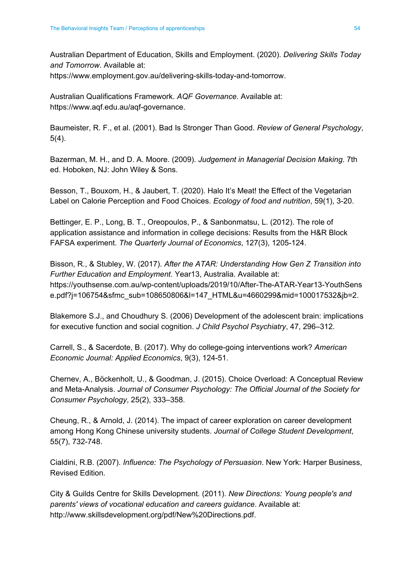Australian Department of Education, Skills and Employment. (2020). *Delivering Skills Today and Tomorrow*. Available at:

[https://www.employment.gov.au/delivering-skills-today-and-tomorrow.](https://www.employment.gov.au/delivering-skills-today-and-tomorrow)

Australian Qualifications Framework. *AQF Governance*. Available at: <https://www.aqf.edu.au/aqf-governance>.

Baumeister, R. F., et al. (2001). Bad Is Stronger Than Good. *Review of General Psychology*, 5(4).

Bazerman, M. H., and D. A. Moore. (2009). *Judgement in Managerial Decision Making*. 7th ed. Hoboken, NJ: John Wiley & Sons.

Besson, T., Bouxom, H., & Jaubert, T. (2020). Halo It's Meat! the Effect of the Vegetarian Label on Calorie Perception and Food Choices. *Ecology of food and nutrition*, 59(1), 3-20.

Bettinger, E. P., Long, B. T., Oreopoulos, P., & Sanbonmatsu, L. (2012). The role of application assistance and information in college decisions: Results from the H&R Block FAFSA experiment. *The Quarterly Journal of Economics*, 127(3), 1205-124.

Bisson, R., & Stubley, W. (2017). *After the ATAR: Understanding How Gen Z Transition into Further Education and Employment*. Year13, Australia. Available at: [https://youthsense.com.au/wp-content/uploads/2019/10/After-The-ATAR-Year13-YouthSens](https://youthsense.com.au/wp-content/uploads/2019/10/After-The-ATAR-Year13-YouthSense.pdf?j=106754&sfmc_sub=108650806&l=147_HTML&u=4660299&mid=100017532&jb=2) [e.pdf?j=106754&sfmc\\_sub=108650806&l=147\\_HTML&u=4660299&mid=100017532&jb=2.](https://youthsense.com.au/wp-content/uploads/2019/10/After-The-ATAR-Year13-YouthSense.pdf?j=106754&sfmc_sub=108650806&l=147_HTML&u=4660299&mid=100017532&jb=2)

Blakemore S.J., and Choudhury S. (2006) Development of the adolescent brain: implications for executive function and social cognition. *J Child Psychol Psychiatry*, 47, 296–312.

Carrell, S., & Sacerdote, B. (2017). Why do college-going interventions work? *American Economic Journal: Applied Economics*, 9(3), 124-51.

Chernev, A., Böckenholt, U., & Goodman, J. (2015). Choice Overload: A Conceptual Review and Meta-Analysis. *Journal of Consumer Psychology: The Official Journal of the Society for Consumer Psychology*, 25(2), 333–358.

Cheung, R., & Arnold, J. (2014). The impact of career exploration on career development among Hong Kong Chinese university students. *Journal of College Student Development*, 55(7), 732-748.

Cialdini, R.B. (2007). *Influence: The Psychology of Persuasion*. New York: Harper Business, Revised Edition.

City & Guilds Centre for Skills Development. (2011). *New Directions: Young people's and parents' views of vocational education and careers guidance*. Available at: [http://www.skillsdevelopment.org/pdf/New%20Directions.pdf.](http://www.skillsdevelopment.org/pdf/New%20Directions.pdf)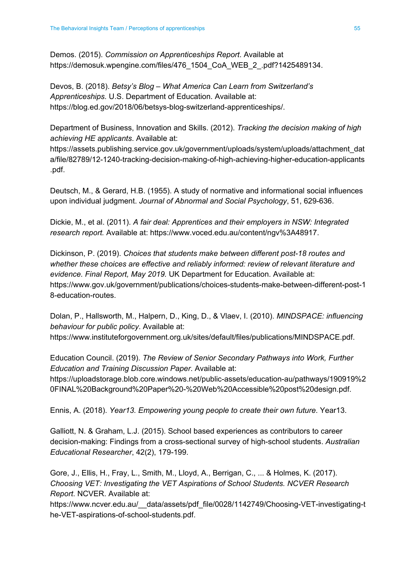Demos. (2015). *Commission on Apprenticeships Report*. Available at [https://demosuk.wpengine.com/files/476\\_1504\\_CoA\\_WEB\\_2\\_.pdf?1425489134](https://demosuk.wpengine.com/files/476_1504_CoA_WEB_2_.pdf?1425489134).

Devos, B. (2018). *Betsy's Blog – What America Can Learn from Switzerland's Apprenticeships.* U.S. Department of Education. Available at: [https://blog.ed.gov/2018/06/betsys-blog-switzerland-apprenticeships/.](https://blog.ed.gov/2018/06/betsys-blog-switzerland-apprenticeships/)

Department of Business, Innovation and Skills. (2012). *Tracking the decision making of high achieving HE applicants*. Available at:

[https://assets.publishing.service.gov.uk/government/uploads/system/uploads/attachment\\_dat](https://assets.publishing.service.gov.uk/government/uploads/system/uploads/attachment_data/file/82789/12-1240-tracking-decision-making-of-high-achieving-higher-education-applicants.pdf) [a/file/82789/12-1240-tracking-decision-making-of-high-achieving-higher-education-applicants](https://assets.publishing.service.gov.uk/government/uploads/system/uploads/attachment_data/file/82789/12-1240-tracking-decision-making-of-high-achieving-higher-education-applicants.pdf) [.pdf](https://assets.publishing.service.gov.uk/government/uploads/system/uploads/attachment_data/file/82789/12-1240-tracking-decision-making-of-high-achieving-higher-education-applicants.pdf).

Deutsch, M., & Gerard, H.B. (1955). A study of normative and informational social influences upon individual judgment. *Journal of Abnormal and Social Psychology*, 51, 629-636.

Dickie, M., et al. (2011). *A fair deal: Apprentices and their employers in NSW: Integrated research report.* Available at: [https://www.voced.edu.au/content/ngv%3A48917.](https://www.voced.edu.au/content/ngv%3A48917)

Dickinson, P. (2019). *Choices that students make between different post-18 routes and whether these choices are effective and reliably informed: review of relevant literature and evidence. Final Report, May 2019.* UK Department for Education. Available at: [https://www.gov.uk/government/publications/choices-students-make-between-different-post-1](https://www.gov.uk/government/publications/choices-students-make-between-different-post-18-education-routes) [8-education-routes.](https://www.gov.uk/government/publications/choices-students-make-between-different-post-18-education-routes)

Dolan, P., Hallsworth, M., Halpern, D., King, D., & Vlaev, I. (2010). *MINDSPACE: influencing behaviour for public policy*. Available at:

[https://www.instituteforgovernment.org.uk/sites/default/files/publications/MINDSPACE.pdf.](https://www.instituteforgovernment.org.uk/sites/default/files/publications/MINDSPACE.pdf)

Education Council. (2019). *The Review of Senior Secondary Pathways into Work, Further Education and Training Discussion Paper*. Available at:

[https://uploadstorage.blob.core.windows.net/public-assets/education-au/pathways/190919%2](https://uploadstorage.blob.core.windows.net/public-assets/education-au/pathways/190919%20FINAL%20Background%20Paper%20-%20Web%20Accessible%20post%20design.pdf) [0FINAL%20Background%20Paper%20-%20Web%20Accessible%20post%20design.pdf.](https://uploadstorage.blob.core.windows.net/public-assets/education-au/pathways/190919%20FINAL%20Background%20Paper%20-%20Web%20Accessible%20post%20design.pdf)

Ennis, A. (2018). *Year13. Empowering young people to create their own future*. Year13.

Galliott, N. & Graham, L.J. (2015). School based experiences as contributors to career decision-making: Findings from a cross-sectional survey of high-school students. *Australian Educational Researcher*, 42(2), 179-199.

Gore, J., Ellis, H., Fray, L., Smith, M., Lloyd, A., Berrigan, C., ... & Holmes, K. (2017). *Choosing VET: Investigating the VET Aspirations of School Students. NCVER Research Report*. NCVER. Available at:

[https://www.ncver.edu.au/\\_\\_data/assets/pdf\\_file/0028/1142749/Choosing-VET-investigating-t](https://www.ncver.edu.au/__data/assets/pdf_file/0028/1142749/Choosing-VET-investigating-the-VET-aspirations-of-school-students.pdf) [he-VET-aspirations-of-school-students.pdf](https://www.ncver.edu.au/__data/assets/pdf_file/0028/1142749/Choosing-VET-investigating-the-VET-aspirations-of-school-students.pdf).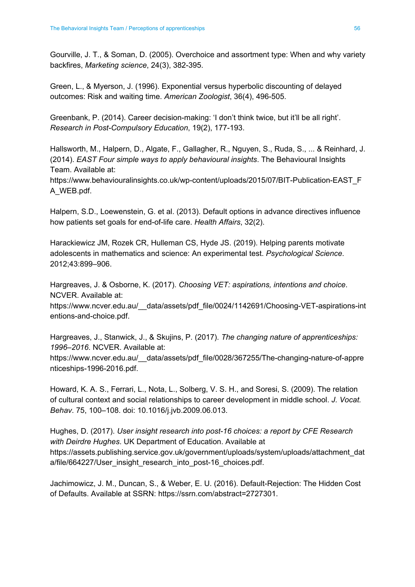Gourville, J. T., & Soman, D. (2005). Overchoice and assortment type: When and why variety backfires, *Marketing science*, 24(3), 382-395.

Green, L., & Myerson, J. (1996). Exponential versus hyperbolic discounting of delayed outcomes: Risk and waiting time. *American Zoologist*, 36(4), 496-505.

Greenbank, P. (2014). Career decision-making: 'I don't think twice, but it'll be all right'. *Research in Post-Compulsory Education*, 19(2), 177-193.

Hallsworth, M., Halpern, D., Algate, F., Gallagher, R., Nguyen, S., Ruda, S., ... & Reinhard, J. (2014). *EAST Four simple ways to apply behavioural insights*. The Behavioural Insights Team. Available at: [https://www.behaviouralinsights.co.uk/wp-content/uploads/2015/07/BIT-Publication-EAST\\_F](https://www.behaviouralinsights.co.uk/wp-content/uploads/2015/07/BIT-Publication-EAST_FA_WEB.pdf) [A\\_WEB.pdf.](https://www.behaviouralinsights.co.uk/wp-content/uploads/2015/07/BIT-Publication-EAST_FA_WEB.pdf)

Halpern, S.D., Loewenstein, G. et al. (2013). Default options in advance directives influence how patients set goals for end-of-life care. *Health Affairs*, 32(2).

Harackiewicz JM, Rozek CR, Hulleman CS, Hyde JS. (2019). Helping parents motivate adolescents in mathematics and science: An experimental test. *Psychological Science*. 2012;43:899–906.

Hargreaves, J. & Osborne, K. (2017). *Choosing VET: aspirations, intentions and choice*. NCVER. Available at:

[https://www.ncver.edu.au/\\_\\_data/assets/pdf\\_file/0024/1142691/Choosing-VET-aspirations-int](https://www.ncver.edu.au/__data/assets/pdf_file/0024/1142691/Choosing-VET-aspirations-intentions-and-choice.pdf) [entions-and-choice.pdf](https://www.ncver.edu.au/__data/assets/pdf_file/0024/1142691/Choosing-VET-aspirations-intentions-and-choice.pdf).

Hargreaves, J., Stanwick, J., & Skujins, P. (2017). *The changing nature of apprenticeships: 1996–2016*. NCVER. Available at: [https://www.ncver.edu.au/\\_\\_data/assets/pdf\\_file/0028/367255/The-changing-nature-of-appre](https://www.ncver.edu.au/__data/assets/pdf_file/0028/367255/The-changing-nature-of-apprenticeships-1996-2016.pdf) [nticeships-1996-2016.pdf.](https://www.ncver.edu.au/__data/assets/pdf_file/0028/367255/The-changing-nature-of-apprenticeships-1996-2016.pdf)

Howard, K. A. S., Ferrari, L., Nota, L., Solberg, V. S. H., and Soresi, S. (2009). The relation of cultural context and social relationships to career development in middle school. *J. Vocat. Behav*. 75, 100–108. doi: 10.1016/j.jvb.2009.06.013.

Hughes, D. (2017). *User insight research into post-16 choices: a report by CFE Research with Deirdre Hughes*. UK Department of Education. Available at [https://assets.publishing.service.gov.uk/government/uploads/system/uploads/attachment\\_dat](https://assets.publishing.service.gov.uk/government/uploads/system/uploads/attachment_data/file/664227/User_insight_research_into_post-16_choices.pdf) [a/file/664227/User\\_insight\\_research\\_into\\_post-16\\_choices.pdf.](https://assets.publishing.service.gov.uk/government/uploads/system/uploads/attachment_data/file/664227/User_insight_research_into_post-16_choices.pdf)

Jachimowicz, J. M., Duncan, S., & Weber, E. U. (2016). Default-Rejection: The Hidden Cost of Defaults. Available at SSRN: <https://ssrn.com/abstract=2727301>.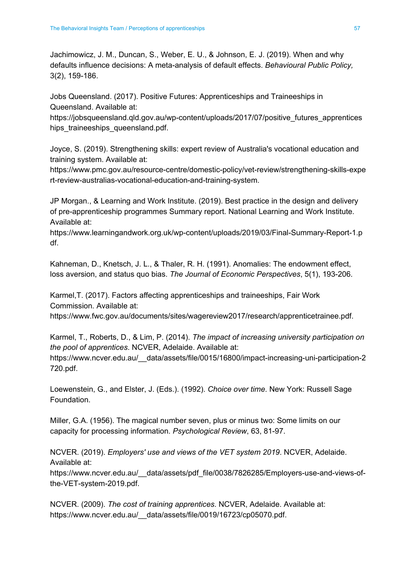Jachimowicz, J. M., Duncan, S., Weber, E. U., & Johnson, E. J. (2019). When and why defaults influence decisions: A meta-analysis of default effects. *Behavioural Public Policy,* 3(2), 159-186.

Jobs Queensland. (2017). Positive Futures: Apprenticeships and Traineeships in Queensland. Available at:

[https://jobsqueensland.qld.gov.au/wp-content/uploads/2017/07/positive\\_futures\\_apprentices](https://jobsqueensland.qld.gov.au/wp-content/uploads/2017/07/positive_futures_apprenticeships_traineeships_queensland.pdf) hips traineeships queensland.pdf.

Joyce, S. (2019). Strengthening skills: expert review of Australia's vocational education and training system. Available at:

[https://www.pmc.gov.au/resource-centre/domestic-policy/vet-review/strengthening-skills-expe](https://www.pmc.gov.au/resource-centre/domestic-policy/vet-review/strengthening-skills-expert-review-australias-vocational-education-and-training-system) [rt-review-australias-vocational-education-and-training-system.](https://www.pmc.gov.au/resource-centre/domestic-policy/vet-review/strengthening-skills-expert-review-australias-vocational-education-and-training-system)

JP Morgan., & Learning and Work Institute. (2019). Best practice in the design and delivery of pre-apprenticeship programmes Summary report. National Learning and Work Institute. Available at:

[https://www.learningandwork.org.uk/wp-content/uploads/2019/03/Final-Summary-Report-1.p](https://www.learningandwork.org.uk/wp-content/uploads/2019/03/Final-Summary-Report-1.pdf) [df](https://www.learningandwork.org.uk/wp-content/uploads/2019/03/Final-Summary-Report-1.pdf).

Kahneman, D., Knetsch, J. L., & Thaler, R. H. (1991). Anomalies: The endowment effect, loss aversion, and status quo bias. *The Journal of Economic Perspectives*, 5(1), 193-206.

Karmel,T. (2017). Factors affecting apprenticeships and traineeships, Fair Work Commission. Available at:

<https://www.fwc.gov.au/documents/sites/wagereview2017/research/apprenticetrainee.pdf>.

Karmel, T., Roberts, D., & Lim, P. (2014). *The impact of increasing university participation on the pool of apprentices*. NCVER, Adelaide. Available at: [https://www.ncver.edu.au/\\_\\_data/assets/file/0015/16800/impact-increasing-uni-participation-2](https://www.ncver.edu.au/__data/assets/file/0015/16800/impact-increasing-uni-participation-2720.pdf) [720.pdf.](https://www.ncver.edu.au/__data/assets/file/0015/16800/impact-increasing-uni-participation-2720.pdf)

Loewenstein, G., and Elster, J. (Eds.). (1992). *Choice over time*. New York: Russell Sage Foundation.

Miller, G.A. (1956). The magical number seven, plus or minus two: Some limits on our capacity for processing information. *Psychological Review*, 63, 81-97.

NCVER. (2019). *Employers' use and views of the VET system 2019*. NCVER, Adelaide. Available at:

[https://www.ncver.edu.au/\\_\\_data/assets/pdf\\_file/0038/7826285/Employers-use-and-views-of](https://www.ncver.edu.au/__data/assets/pdf_file/0038/7826285/Employers-use-and-views-of-the-VET-system-2019.pdf)[the-VET-system-2019.pdf](https://www.ncver.edu.au/__data/assets/pdf_file/0038/7826285/Employers-use-and-views-of-the-VET-system-2019.pdf).

NCVER. (2009). *The cost of training apprentices*. NCVER, Adelaide. Available at: [https://www.ncver.edu.au/\\_\\_data/assets/file/0019/16723/cp05070.pdf](https://www.ncver.edu.au/__data/assets/file/0019/16723/cp05070.pdf).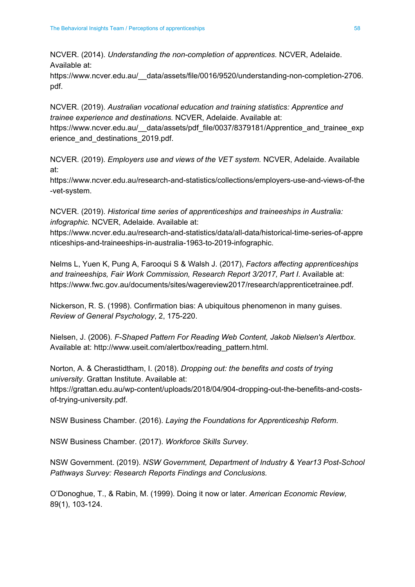NCVER. (2014). *Understanding the non-completion of apprentices.* NCVER, Adelaide. Available at:

[https://www.ncver.edu.au/\\_\\_data/assets/file/0016/9520/understanding-non-completion-2706.](https://www.ncver.edu.au/__data/assets/file/0016/9520/understanding-non-completion-2706.pdf) [pdf](https://www.ncver.edu.au/__data/assets/file/0016/9520/understanding-non-completion-2706.pdf).

NCVER. (2019). *Australian vocational education and training statistics: Apprentice and trainee experience and destinations.* NCVER, Adelaide. Available at: https://www.ncver.edu.au/ data/assets/pdf file/0037/8379181/Apprentice and trainee exp [erience\\_and\\_destinations\\_2019.pdf](https://www.ncver.edu.au/__data/assets/pdf_file/0037/8379181/Apprentice_and_trainee_experience_and_destinations_2019.pdf).

NCVER. (2019). *Employers use and views of the VET system.* NCVER, Adelaide. Available at:

[https://www.ncver.edu.au/research-and-statistics/collections/employers-use-and-views-of-the](https://www.ncver.edu.au/research-and-statistics/collections/employers-use-and-views-of-the-vet-system) [-vet-system.](https://www.ncver.edu.au/research-and-statistics/collections/employers-use-and-views-of-the-vet-system)

NCVER. (2019). *Historical time series of apprenticeships and traineeships in Australia: infographic.* NCVER, Adelaide. Available at:

[https://www.ncver.edu.au/research-and-statistics/data/all-data/historical-time-series-of-appre](https://www.ncver.edu.au/research-and-statistics/data/all-data/historical-time-series-of-apprenticeships-and-traineeships-in-australia-1963-to-2019-infographic) [nticeships-and-traineeships-in-australia-1963-to-2019-infographic](https://www.ncver.edu.au/research-and-statistics/data/all-data/historical-time-series-of-apprenticeships-and-traineeships-in-australia-1963-to-2019-infographic).

Nelms L, Yuen K, Pung A, Farooqui S & Walsh J. (2017), *Factors affecting apprenticeships and traineeships, Fair Work Commission, Research Report 3/2017, Part I*. Available at: <https://www.fwc.gov.au/documents/sites/wagereview2017/research/apprenticetrainee.pdf>.

Nickerson, R. S. (1998). Confirmation bias: A ubiquitous phenomenon in many guises. *Review of General Psychology*, 2, 175-220.

Nielsen, J. (2006). *F-Shaped Pattern For Reading Web Content, Jakob Nielsen's Alertbox*. Available at: [http://www.useit.com/alertbox/reading\\_pattern.html.](http://www.useit.com/alertbox/reading_pattern.html)

Norton, A. & Cherastidtham, I. (2018). *Dropping out: the benefits and costs of trying university*. Grattan Institute. Available at:

[https://grattan.edu.au/wp-content/uploads/2018/04/904-dropping-out-the-benefits-and-costs](https://grattan.edu.au/wp-content/uploads/2018/04/904-dropping-out-the-benefits-and-costs-of-trying-university.pdf)[of-trying-university.pdf](https://grattan.edu.au/wp-content/uploads/2018/04/904-dropping-out-the-benefits-and-costs-of-trying-university.pdf).

NSW Business Chamber. (2016). *Laying the Foundations for Apprenticeship Reform*.

NSW Business Chamber. (2017). *Workforce Skills Survey*.

NSW Government. (2019). *NSW Government, Department of Industry & Year13 Post-School Pathways Survey: Research Reports Findings and Conclusions.*

O'Donoghue, T., & Rabin, M. (1999). Doing it now or later. *American Economic Review,* 89(1), 103-124.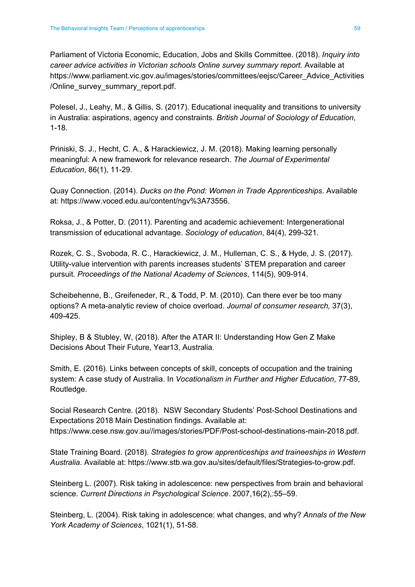Parliament of Victoria Economic, Education, Jobs and Skills Committee. (2018). *Inquiry into career advice activities in Victorian schools Online survey summary report.* Available at [https://www.parliament.vic.gov.au/images/stories/committees/eejsc/Career\\_Advice\\_Activities](https://www.parliament.vic.gov.au/images/stories/committees/eejsc/Career_Advice_Activities/Online_survey_summary_report.pdf) [/Online\\_survey\\_summary\\_report.pdf.](https://www.parliament.vic.gov.au/images/stories/committees/eejsc/Career_Advice_Activities/Online_survey_summary_report.pdf)

Polesel, J., Leahy, M., & Gillis, S. (2017). Educational inequality and transitions to university in Australia: aspirations, agency and constraints. *British Journal of Sociology of Education*, 1-18.

Priniski, S. J., Hecht, C. A., & Harackiewicz, J. M. (2018). Making learning personally meaningful: A new framework for relevance research. *The Journal of Experimental Education*, 86(1), 11-29.

Quay Connection. (2014). *Ducks on the Pond: Women in Trade Apprenticeships*. Available at: <https://www.voced.edu.au/content/ngv%3A73556>.

Roksa, J., & Potter, D. (2011). Parenting and academic achievement: Intergenerational transmission of educational advantage. *Sociology of education*, 84(4), 299-321.

Rozek, C. S., Svoboda, R. C., Harackiewicz, J. M., Hulleman, C. S., & Hyde, J. S. (2017). Utility-value intervention with parents increases students' STEM preparation and career pursuit. *Proceedings of the National Academy of Sciences*, 114(5), 909-914.

Scheibehenne, B., Greifeneder, R., & Todd, P. M. (2010). Can there ever be too many options? A meta-analytic review of choice overload. *Journal of consumer research,* 37(3), 409-425.

Shipley, B & Stubley, W, (2018). After the ATAR II: Understanding How Gen Z Make Decisions About Their Future, Year13, Australia.

Smith, E. (2016). Links between concepts of skill, concepts of occupation and the training system: A case study of Australia. In *Vocationalism in Further and Higher Education*, 77-89, Routledge.

Social Research Centre. (2018). NSW Secondary Students' Post-School Destinations and Expectations 2018 Main Destination findings. Available at: [https://www.cese.nsw.gov.au//images/stories/PDF/Post-school-destinations-main-2018.pdf.](https://www.cese.nsw.gov.au//images/stories/PDF/Post-school-destinations-main-2018.pdf)

State Training Board. (2018). *Strategies to grow apprenticeships and traineeships in Western Australia*. Available at: <https://www.stb.wa.gov.au/sites/default/files/Strategies-to-grow.pdf>.

Steinberg L. (2007). Risk taking in adolescence: new perspectives from brain and behavioral science. *Current Directions in Psychological Science*. 2007,16(2),:55–59.

Steinberg, L. (2004). Risk taking in adolescence: what changes, and why? *Annals of the New York Academy of Sciences*, 1021(1), 51-58.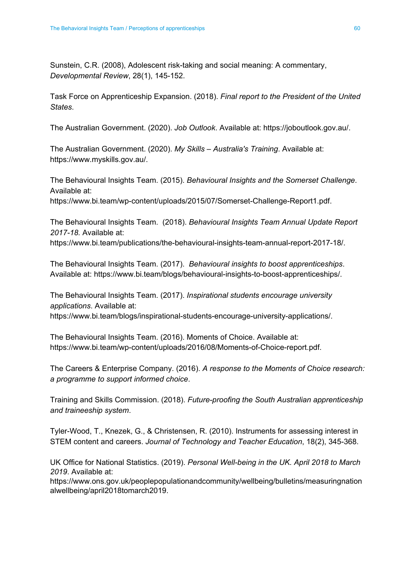Sunstein, C.R. (2008), Adolescent risk-taking and social meaning: A commentary, *Developmental Review*, 28(1), 145-152.

Task Force on Apprenticeship Expansion. (2018). *Final report to the President of the United States*.

The Australian Government. (2020). *Job Outlook*. Available at: [https://joboutlook.gov.au/.](https://joboutlook.gov.au/)

The Australian Government. (2020). *My Skills – Australia's Training*. Available at: <https://www.myskills.gov.au/>.

The Behavioural Insights Team. (2015). *Behavioural Insights and the Somerset Challenge*. Available at: [https://www.bi.team/wp-content/uploads/2015/07/Somerset-Challenge-Report1.pdf.](https://www.bi.team/wp-content/uploads/2015/07/Somerset-Challenge-Report1.pdf)

The Behavioural Insights Team. (2018). *Behavioural Insights Team Annual Update Report 2017-18.* Available at:

<https://www.bi.team/publications/the-behavioural-insights-team-annual-report-2017-18/>.

The Behavioural Insights Team. (2017). *Behavioural insights to boost apprenticeships*. Available at: [https://www.bi.team/blogs/behavioural-insights-to-boost-apprenticeships/.](https://www.bi.team/blogs/behavioural-insights-to-boost-apprenticeships/)

The Behavioural Insights Team. (2017). *Inspirational students encourage university applications*. Available at:

<https://www.bi.team/blogs/inspirational-students-encourage-university-applications/>.

The Behavioural Insights Team. (2016). Moments of Choice. Available at: <https://www.bi.team/wp-content/uploads/2016/08/Moments-of-Choice-report.pdf>.

The Careers & Enterprise Company. (2016). *A response to the Moments of Choice research: a programme to support informed choice*.

Training and Skills Commission. (2018). *Future-proofing the South Australian apprenticeship and traineeship system*.

Tyler-Wood, T., Knezek, G., & Christensen, R. (2010). Instruments for assessing interest in STEM content and careers. *Journal of Technology and Teacher Education*, 18(2), 345-368.

UK Office for National Statistics. (2019). *Personal Well-being in the UK. April 2018 to March 2019*. Available at:

[https://www.ons.gov.uk/peoplepopulationandcommunity/wellbeing/bulletins/measuringnation](https://www.ons.gov.uk/peoplepopulationandcommunity/wellbeing/bulletins/measuringnationalwellbeing/april2018tomarch2019) [alwellbeing/april2018tomarch2019](https://www.ons.gov.uk/peoplepopulationandcommunity/wellbeing/bulletins/measuringnationalwellbeing/april2018tomarch2019).